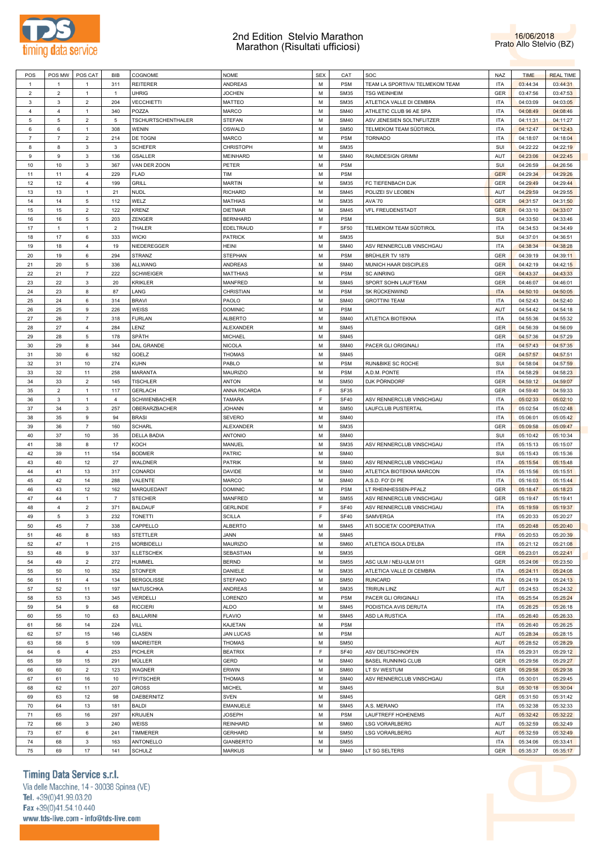



| POS            | POS MW         | POS CAT        | BIB            | COGNOME              | <b>NOME</b>      | <b>SEX</b> | CAT         | SOC                             | NAZ        | <b>TIME</b> | <b>REAL TIME</b> |
|----------------|----------------|----------------|----------------|----------------------|------------------|------------|-------------|---------------------------------|------------|-------------|------------------|
| $\overline{1}$ | $\overline{1}$ | $\mathbf{1}$   | 311            | <b>REITERER</b>      | <b>ANDREAS</b>   | M          | <b>PSM</b>  | TEAM LA SPORTIVA/ TELMEKOM TEAM | <b>ITA</b> | 03:44:34    | 03:44:31         |
| $\overline{c}$ | $\overline{2}$ | $\mathbf{1}$   | $\mathbf{1}$   | <b>UHRIG</b>         | <b>JOCHEN</b>    | M          | <b>SM35</b> | <b>TSG WEINHEIM</b>             | GER        | 03:47:56    | 03:47:53         |
| 3              | 3              | $\overline{2}$ | 204            | <b>VECCHIETTI</b>    | <b>MATTEO</b>    | М          | <b>SM35</b> | ATLETICA VALLE DI CEMBRA        | <b>ITA</b> | 04:03:09    | 04:03:05         |
|                |                |                |                |                      |                  |            |             |                                 |            |             |                  |
| 4              | $\overline{4}$ | $\mathbf{1}$   | 340            | POZZA                | <b>MARCO</b>     | M          | <b>SM40</b> | ATHLETIC CLUB 96 AE SPA         | <b>ITA</b> | 04:08:49    | 04:08:46         |
| 5              | 5              | $\overline{2}$ | 5              | TSCHURTSCHENTHALER   | <b>STEFAN</b>    | M          | <b>SM40</b> | ASV JENESIEN SOLTNFLITZER       | <b>ITA</b> | 04:11:31    | 04:11:27         |
| 6              | 6              | $\mathbf{1}$   | 308            | <b>WENIN</b>         | OSWALD           | M          | <b>SM50</b> | TELMEKOM TEAM SÜDTIROL          | <b>ITA</b> | 04:12:47    | 04:12:43         |
| $\overline{7}$ | $\overline{7}$ | $\overline{2}$ | 214            | DE TOGNI             | <b>MARCO</b>     | M          | <b>PSM</b>  | <b>TORNADO</b>                  | <b>ITA</b> | 04:18:07    | 04:18:04         |
| 8              | 8              | 3              | 3              | <b>SCHEFER</b>       | CHRISTOPH        | M          | <b>SM35</b> |                                 | SUI        | 04:22:22    | 04:22:19         |
| 9              | 9              | 3              | 136            | <b>GSALLER</b>       | MEINHARD         | M          | <b>SM40</b> | RAUMDESIGN GRIMM                | AUT        | 04:23:06    | 04:22:45         |
| 10             | 10             | 3              | 367            | VAN DER ZOON         | PETER            | M          | <b>PSM</b>  |                                 | SUI        | 04:26:59    | 04:26:56         |
| 11             | 11             | 4              | 229            | <b>FLAD</b>          | TIM              | M          | <b>PSM</b>  |                                 | <b>GER</b> | 04:29:34    | 04:29:26         |
|                |                |                |                |                      |                  |            |             |                                 |            |             |                  |
| 12             | 12             | $\overline{4}$ | 199            | GRILL                | <b>MARTIN</b>    | M          | <b>SM35</b> | FC TIEFENBACH DJK               | GER        | 04:29:49    | 04:29:44         |
| 13             | 13             | $\mathbf{1}$   | 21             | <b>NUDL</b>          | <b>RICHARD</b>   | M          | <b>SM45</b> | POLIZEI SV LEOBEN               | AUT        | 04:29:59    | 04:29:55         |
| 14             | 14             | 5              | 112            | WELZ                 | <b>MATHIAS</b>   | M          | <b>SM35</b> | AVA'70                          | <b>GER</b> | 04:31:57    | 04:31:50         |
| 15             | 15             | $\overline{2}$ | 122            | <b>KRENZ</b>         | <b>DIETMAR</b>   | M          | <b>SM45</b> | <b>VFL FREUDENSTADT</b>         | <b>GER</b> | 04:33:10    | 04:33:07         |
| 16             | 16             | 5              | 203            | ZENGER               | <b>BERNHARD</b>  | M          | <b>PSM</b>  |                                 | SUI        | 04:33:50    | 04:33:46         |
| 17             | $\mathbf{1}$   | $\mathbf{1}$   | $\overline{2}$ | THALER               | EDELTRAUD        | F          | <b>SF50</b> | TELMEKOM TEAM SÜDTIROL          | <b>ITA</b> | 04:34:53    | 04:34:49         |
| 18             | 17             | 6              | 333            | <b>WICKI</b>         | <b>PATRICK</b>   | M          | <b>SM35</b> |                                 | SUI        | 04:37:01    | 04:36:51         |
| 19             | 18             | 4              | 19             | NIEDEREGGER          | <b>HEINI</b>     | M          | <b>SM40</b> | ASV RENNERCLUB VINSCHGAU        | <b>ITA</b> | 04:38:34    | 04:38:28         |
|                |                |                |                |                      |                  |            |             |                                 |            |             |                  |
| 20             | 19             | 6              | 294            | <b>STRANZ</b>        | <b>STEPHAN</b>   | M          | <b>PSM</b>  | BRÜHLER TV 1879                 | GER        | 04:39:19    | 04:39:11         |
| 21             | 20             | 5              | 336            | <b>ALLWANG</b>       | <b>ANDREAS</b>   | M          | <b>SM40</b> | MUNICH HAAR DISCIPLES           | GER        | 04:42:19    | 04:42:15         |
| 22             | 21             | $\overline{7}$ | 222            | <b>SCHWEIGER</b>     | <b>MATTHIAS</b>  | M          | <b>PSM</b>  | <b>SC AINRING</b>               | GER        | 04:43:37    | 04:43:33         |
| 23             | 22             | 3              | 20             | KRIKLER              | <b>MANFRED</b>   | M          | <b>SM45</b> | SPORT SOHN LAUFTEAM             | GER        | 04:46:07    | 04:46:01         |
| 24             | 23             | 8              | 87             | LANG                 | CHRISTIAN        | M          | <b>PSM</b>  | SK RÜCKENWIND                   | <b>ITA</b> | 04:50:10    | 04:50:05         |
| 25             | 24             | 6              | 314            | <b>BRAVI</b>         | PAOLO            | M          | <b>SM40</b> | <b>GROTTINI TEAM</b>            | <b>ITA</b> | 04:52:43    | 04:52:40         |
| 26             | 25             | 9              | 226            | WEISS                | <b>DOMINIC</b>   | M          | <b>PSM</b>  |                                 | AUT        | 04:54:42    | 04:54:18         |
| 27             | 26             | $\overline{7}$ | 318            | <b>FURLAN</b>        | <b>ALBERTO</b>   | M          | <b>SM40</b> | ATLETICA BIOTEKNA               | ITA        | 04:55:36    | 04:55:32         |
|                |                |                |                |                      |                  |            |             |                                 |            |             |                  |
| 28             | 27             | $\overline{4}$ | 284            | LENZ                 | <b>ALEXANDER</b> | M          | <b>SM45</b> |                                 | GER        | 04:56:39    | 04:56:09         |
| 29             | 28             | 5              | 178            | SPÄTH                | <b>MICHAEL</b>   | M          | <b>SM45</b> |                                 | GER        | 04:57:36    | 04:57:29         |
| 30             | 29             | 8              | 344            | DAL GRANDE           | <b>NICOLA</b>    | M          | <b>SM40</b> | PACER GLI ORIGINALI             | <b>ITA</b> | 04:57:43    | 04:57:35         |
| 31             | 30             | 6              | 182            | GOELZ                | <b>THOMAS</b>    | M          | <b>SM45</b> |                                 | GER        | 04:57:57    | 04:57:51         |
| 32             | 31             | 10             | 274            | <b>KUHN</b>          | PABLO            | M          | <b>PSM</b>  | RUN&BIKE SC ROCHE               | SUI        | 04:58:04    | 04:57:59         |
| 33             | 32             | 11             | 258            | <b>MARANTA</b>       | <b>MAURIZIO</b>  | M          | <b>PSM</b>  | A.D.M. PONTE                    | <b>ITA</b> | 04:58:29    | 04:58:23         |
| 34             | 33             | $\overline{c}$ | 145            | <b>TISCHLER</b>      | <b>ANTON</b>     | M          | <b>SM50</b> | DJK PÖRNDORF                    | GER        | 04:59:12    | 04:59:07         |
| 35             | $\overline{c}$ | $\mathbf{1}$   | 117            | <b>GERLACH</b>       | ANNA RICARDA     | F          | <b>SF35</b> |                                 | GER        | 04:59:40    | 04:59:33         |
|                |                |                |                |                      |                  |            |             |                                 |            |             |                  |
| 36             | 3              | $\mathbf{1}$   | $\overline{4}$ | <b>SCHWIENBACHER</b> | <b>TAMARA</b>    | F          | <b>SF40</b> | ASV RENNERCLUB VINSCHGAU        | <b>ITA</b> | 05:02:33    | 05:02:10         |
| 37             | 34             |                |                |                      |                  |            |             |                                 |            |             |                  |
|                |                | 3              | 257            | OBERARZBACHER        | <b>JOHANN</b>    | M          | <b>SM50</b> | LAUFCLUB PUSTERTAL              | <b>ITA</b> | 05:02:54    | 05:02:48         |
| 38             | 35             | 9              | 94             | <b>BRASI</b>         | <b>SEVERO</b>    | M          | <b>SM40</b> |                                 | <b>ITA</b> | 05:06:01    | 05:05:42         |
| 39             | 36             | $\overline{7}$ | 160            | <b>SCHARL</b>        | <b>ALEXANDER</b> | М          | <b>SM35</b> |                                 | GER        | 05:09:58    | 05:09:47         |
| 40             | 37             | 10             | 35             | <b>DELLA BADIA</b>   | <b>ANTONIO</b>   | M          | <b>SM40</b> |                                 | SUI        | 05:10:42    | 05:10:34         |
| 41             | 38             | 8              | 17             | KOCH                 | MANUEL           | M          | <b>SM35</b> | ASV RENNERCLUB VINSCHGAU        | <b>ITA</b> | 05:15:13    | 05:15:07         |
|                |                |                |                |                      |                  |            |             |                                 |            |             |                  |
| 42             | 39             | 11             | 154            | <b>BODMER</b>        | <b>PATRIC</b>    | M          | <b>SM40</b> |                                 | SUI        | 05:15:43    | 05:15:36         |
| 43             | 40             | 12             | 27             | WALDNER              | <b>PATRIK</b>    | M          | <b>SM40</b> | ASV RENNERCLUB VINSCHGAU        | <b>ITA</b> | 05:15:54    | 05:15:48         |
| 44             | 41             | 13             | 317            | CONARDI              | <b>DAVIDE</b>    | M          | <b>SM40</b> | ATLETICA BIOTEKNA MARCON        | <b>ITA</b> | 05:15:56    | 05:15:51         |
| 45             | 42             | 14             | 288            | VALENTE              | <b>MARCO</b>     | M          | <b>SM40</b> | A.S.D. FO' DI PE                | <b>ITA</b> | 05:16:03    | 05:15:44         |
| 46             | 43             | 12             | 162            | MARQUEDANT           | <b>DOMINIC</b>   | M          | <b>PSM</b>  | LT RHEINHESSEN-PFALZ            | GER        | 05:18:47    | 05:18:23         |
| 47             | 44             | $\mathbf{1}$   | $\overline{7}$ | <b>STECHER</b>       | MANFRED          | M          | <b>SM55</b> | ASV RENNERCLUB VINSCHGAU        | GER        | 05:19:47    | 05:19:41         |
| 48             | 4              | $\overline{2}$ | 371            | <b>BALDAUF</b>       | <b>GERLINDE</b>  | E          | <b>SF40</b> | ASV RENNERCLUB VINSCHGAU        | <b>ITA</b> | 05:19:59    | 05:19:37         |
| 49             | 5              | 3              | 232            | <b>TONETTI</b>       | <b>SCILLA</b>    | E          | <b>SF40</b> | SAMVERGA                        | <b>ITA</b> | 05:20:33    | 05:20:27         |
|                |                |                |                |                      |                  | M          |             |                                 |            |             |                  |
| 50             | 45             | $\overline{7}$ | 338            | CAPPELLO             | <b>ALBERTO</b>   |            | <b>SM45</b> | ATI SOCIETA' COOPERATIVA        | <b>ITA</b> | 05:20:48    | 05:20:40         |
| 51             | 46             | 8              | 183            | <b>STETTLER</b>      | JANN             | M          | <b>SM45</b> |                                 | <b>FRA</b> | 05:20:53    | 05:20:39         |
| 52             | 47             | $\mathbf{1}$   | 215            | MORBIDELLI           | MAURIZIO         | M          | <b>SM60</b> | ATLETICA ISOLA D'ELBA           | <b>ITA</b> | 05:21:12    | 05:21:08         |
| 53             | 48             | 9              | 337            | <b>ILLETSCHEK</b>    | SEBASTIAN        | M          | <b>SM35</b> |                                 | GER        | 05:23:01    | 05:22:41         |
| 54             | 49             | $\overline{c}$ | 272            | HUMMEL               | <b>BERND</b>     | M          | <b>SM55</b> | ASC ULM / NEU-ULM 011           | GER        | 05:24:06    | 05:23:50         |
| 55             | 50             | 10             | 352            | <b>STONFER</b>       | DANIELE          | M          | <b>SM35</b> | ATLETICA VALLE DI CEMBRA        | <b>ITA</b> | 05:24:11    | 05:24:08         |
| 56             | 51             | $\overline{4}$ | 134            | <b>BERGOLISSE</b>    | <b>STEFANO</b>   | M          | <b>SM50</b> | <b>RUNCARD</b>                  | <b>ITA</b> | 05:24:19    | 05:24:13         |
| 57             | 52             | 11             | 197            | <b>MATUSCHKA</b>     | <b>ANDREAS</b>   | M          | <b>SM35</b> | <b>TRIRUN LINZ</b>              | AUT        | 05:24:53    | 05:24:32         |
|                |                |                |                |                      |                  | M          |             |                                 |            |             |                  |
| 58             | 53             | 13             | 345            | VERDELLI             | LORENZO          |            | <b>PSM</b>  | PACER GLI ORIGINALI             | <b>ITA</b> | 05:25:54    | 05:25:24         |
| 59             | 54             | 9              | 68             | <b>RICCIERI</b>      | <b>ALDO</b>      | M          | <b>SM45</b> | PODISTICA AVIS DERUTA           | <b>ITA</b> | 05:26:25    | 05:26:18         |
| 60             | 55             | 10             | 63             | <b>BALLARINI</b>     | <b>FLAVIO</b>    | M          | <b>SM45</b> | <b>ASD LA RUSTICA</b>           | <b>ITA</b> | 05:26:40    | 05:26:33         |
| 61             | 56             | 14             | 224            | VILL                 | KAJETAN          | M          | <b>PSM</b>  |                                 | <b>ITA</b> | 05:26:40    | 05:26:25         |
| 62             | 57             | 15             | 146            | CLASEN               | <b>JAN LUCAS</b> | M          | <b>PSM</b>  |                                 | AUT        | 05:28:34    | 05:28:15         |
| 63             | 58             | 5              | 109            | <b>MADREITER</b>     | <b>THOMAS</b>    | M          | <b>SM50</b> |                                 | AUT        | 05:28:52    | 05:28:29         |
| 64             | 6              | $\overline{4}$ | 253            | PICHLER              | <b>BEATRIX</b>   | E          | <b>SF40</b> | ASV DEUTSCHNOFEN                | <b>ITA</b> | 05:29:31    | 05:29:12         |
| 65             | 59             | 15             | 291            | MÜLLER               | <b>GERD</b>      | M          | <b>SM40</b> | <b>BASEL RUNNING CLUB</b>       | GER        | 05:29:56    | 05:29:27         |
|                |                |                |                |                      |                  | M          |             |                                 |            |             |                  |
| 66             | 60             | $\overline{c}$ | 123            | WAGNER               | ERWIN            |            | <b>SM60</b> | LT SV WESTUM                    | GER        | 05:29:58    | 05:29:38         |
| 67             | 61             | 16             | 10             | <b>PFITSCHER</b>     | <b>THOMAS</b>    | M          | <b>SM40</b> | ASV RENNERCLUB VINSCHGAU        | <b>ITA</b> | 05:30:01    | 05:29:45         |
| 68             | 62             | 11             | 207            | <b>GROSS</b>         | <b>MICHEL</b>    | M          | <b>SM45</b> |                                 | SUI        | 05:30:18    | 05:30:04         |
| 69             | 63             | 12             | 98             | DAEBERNITZ           | <b>SVEN</b>      | M          | <b>SM45</b> |                                 | GER        | 05:31:50    | 05:31:42         |
| 70             | 64             | 13             | 181            | <b>BALDI</b>         | <b>EMANUELE</b>  | M          | <b>SM45</b> | A.S. MERANO                     | <b>ITA</b> | 05:32:38    | 05:32:33         |
| 71             | 65             | 16             | 297            | <b>KRUIJEN</b>       | <b>JOSEPH</b>    | M          | <b>PSM</b>  | LAUFTREFF HOHENEMS              | AUT        | 05:32:42    | 05:32:22         |
| 72             | 66             | $\mathbf 3$    | 240            | WEISS                | <b>REINHARD</b>  | M          | <b>SM60</b> | <b>LSG VORARLBERG</b>           | AUT        | 05:32:59    | 05:32:49         |
| 73             | 67             | 6              | 241            | TIMMERER             | <b>GERHARD</b>   | M          | <b>SM50</b> | <b>LSG VORARLBERG</b>           | AUT        | 05:32:59    | 05:32:49         |
| 74             | 68             | 3              | 163            | ANTONELLO            | <b>GIANBERTO</b> | M          | <b>SM55</b> |                                 | <b>ITA</b> | 05:34:06    | 05:33:41         |

# Timing Data Service s.r.l.

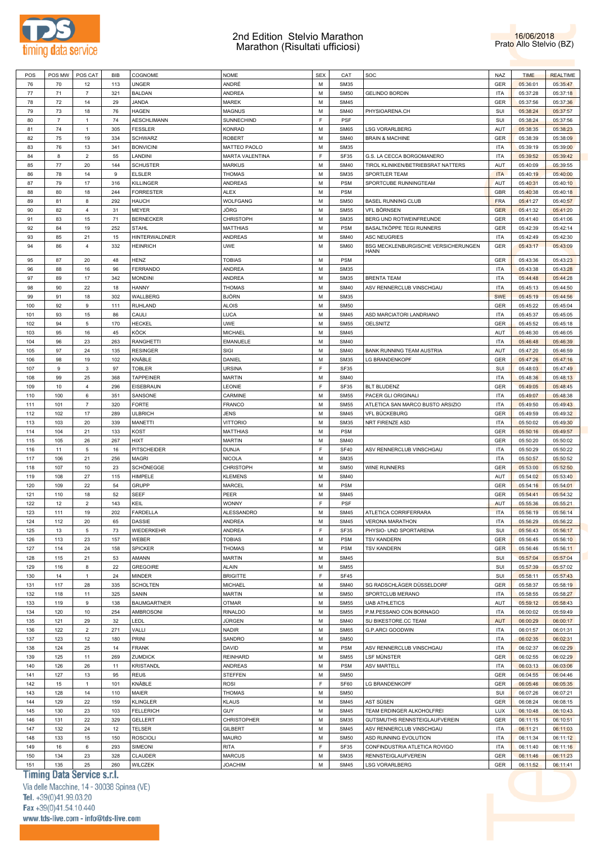



| POS        | POS MW         | POS CAT        | <b>BIB</b> | COGNOME            | <b>NOME</b>                     | <b>SEX</b>  | CAT                        | SOC                                                 | <b>NAZ</b>        | <b>TIME</b>          | <b>REALTIME</b>      |
|------------|----------------|----------------|------------|--------------------|---------------------------------|-------------|----------------------------|-----------------------------------------------------|-------------------|----------------------|----------------------|
|            |                |                |            |                    |                                 |             |                            |                                                     |                   |                      |                      |
| 76         | 70             | 12             | 113        | UNGER              | ANDRÉ                           | M           | <b>SM35</b>                |                                                     | <b>GER</b>        | 05:36:01             | 05:35:47             |
| 77         | 71             | $\overline{7}$ | 321        | <b>BALDAN</b>      | ANDREA                          | M           | <b>SM50</b>                | <b>GELINDO BORDIN</b>                               | <b>ITA</b>        | 05:37:28             | 05:37:18             |
| 78         | 72             | 14             | 29         | JANDA              | <b>MAREK</b>                    | M           | <b>SM45</b>                |                                                     | GER               | 05:37:56             | 05:37:36             |
| 79         | 73             | 18             | 76         | HAGEN              | <b>MAGNUS</b>                   | M           | <b>SM40</b>                | PHYSIOARENA.CH                                      | SUI               | 05:38:24             | 05:37:57             |
| 80         | $\overline{7}$ | $\mathbf{1}$   | 74         | <b>AESCHLIMANN</b> | SUNNECHIND                      | F           | PSF                        |                                                     | SUI               | 05:38:24             | 05:37:56             |
|            |                |                |            |                    |                                 |             |                            |                                                     |                   |                      |                      |
| 81         | 74             | $\overline{1}$ | 305        | <b>FESSLER</b>     | <b>KONRAD</b>                   | M           | <b>SM65</b>                | <b>LSG VORARLBERG</b>                               | AUT               | 05:38:35             | 05:38:23             |
| 82         | 75             | 19             | 334        | <b>SCHWARZ</b>     | <b>ROBERT</b>                   | M           | <b>SM40</b>                | <b>BRAIN &amp; MACHINE</b>                          | GER               | 05:38:39             | 05:38:09             |
| 83         | 76             | 13             | 341        | <b>BONVICINI</b>   | MATTEO PAOLO                    | M           | <b>SM35</b>                |                                                     | <b>ITA</b>        | 05:39:19             | 05:39:00             |
| 84         | 8              | $\overline{2}$ | 55         | LANDINI            | MARTA VALENTINA                 | F           | <b>SF35</b>                | G.S. LA CECCA BORGOMANERO                           | <b>ITA</b>        | 05:39:52             | 05:39:42             |
| 85         | 77             | 20             | 144        | <b>SCHUSTER</b>    | <b>MARKUS</b>                   | M           | <b>SM40</b>                | TIROL KLINIKEN/BETRIEBSRAT NATTERS                  | AUT               | 05:40:09             | 05:39:55             |
|            |                |                |            |                    |                                 | M           |                            | SPORTLER TEAM                                       | <b>ITA</b>        |                      |                      |
| 86         | 78             | 14             | 9          | <b>ELSLER</b>      | <b>THOMAS</b>                   |             | <b>SM35</b>                |                                                     |                   | 05:40:19             | 05:40:00             |
| 87         | 79             | 17             | 316        | <b>KILLINGER</b>   | ANDREAS                         | M           | <b>PSM</b>                 | SPORTCUBE RUNNINGTEAM                               | AUT               | 05:40:31             | 05:40:10             |
| 88         | 80             | 18             | 244        | <b>FORRESTER</b>   | <b>ALEX</b>                     | M           | <b>PSM</b>                 |                                                     | GBR               | 05:40:38             | 05:40:18             |
| 89         | 81             | 8              | 292        | <b>HAUCH</b>       | <b>WOLFGANG</b>                 | M           | <b>SM50</b>                | <b>BASEL RUNNING CLUB</b>                           | <b>FRA</b>        | 05:41:27             | 05:40:57             |
| 90         | 82             | $\overline{4}$ | 31         | <b>MEYER</b>       | JÖRG                            | M           | <b>SM55</b>                | <b>VFL BÖRNSEN</b>                                  | <b>GER</b>        | 05:41:32             | 05:41:20             |
| 91         | 83             | 15             | 71         | <b>BERNECKER</b>   | <b>CHRISTOPH</b>                | M           | <b>SM35</b>                | BERG UND ROTWEINFREUNDE                             | GER               |                      | 05:41:06             |
|            |                |                |            |                    |                                 |             |                            |                                                     |                   | 05:41:40             |                      |
| 92         | 84             | 19             | 252        | <b>STAHL</b>       | MATTHIAS                        | M           | <b>PSM</b>                 | BASALTKÖPPE TEGI RUNNERS                            | <b>GER</b>        | 05:42:39             | 05:42:14             |
| 93         | 85             | 21             | 15         | HINTERWALDNER      | ANDREAS                         | M           | <b>SM40</b>                | <b>ASC NEUGRIES</b>                                 | <b>ITA</b>        | 05:42:49             | 05:42:30             |
| 94         | 86             | $\overline{4}$ | 332        | <b>HEINRICH</b>    | <b>UWE</b>                      | M           | <b>SM60</b>                | BSG MECKLENBURGISCHE VERSICHERUNGEN                 | GER               | 05:43:17             | 05:43:09             |
|            |                |                |            |                    |                                 |             |                            | HANN                                                |                   |                      |                      |
| 95         | 87             | 20             | 48         | <b>HENZ</b>        | <b>TOBIAS</b>                   | M           | <b>PSM</b>                 |                                                     | GER               | 05:43:36             | 05:43:23             |
| 96         | 88             | 16             | 96         | FERRANDO           | ANDREA                          | M           | <b>SM35</b>                |                                                     | <b>ITA</b>        | 05:43:38             | 05:43:28             |
| 97         | 89             | 17             | 342        | <b>MONDINI</b>     | ANDREA                          | M           | <b>SM35</b>                | <b>BRENTA TEAM</b>                                  | <b>ITA</b>        | 05:44:48             | 05:44:28             |
| 98         | 90             | 22             | 18         | HANNY              | <b>THOMAS</b>                   | M           | <b>SM40</b>                |                                                     | <b>ITA</b>        | 05:45:13             |                      |
|            |                |                |            |                    |                                 |             |                            | ASV RENNERCLUB VINSCHGAU                            |                   |                      | 05:44:50             |
| 99         | 91             | 18             | 302        | WALLBERG           | BJÖRN                           | M           | <b>SM35</b>                |                                                     | <b>SWE</b>        | 05:45:19             | 05:44:56             |
| 100        | 92             | $\mathsf g$    | 111        | <b>RUHLAND</b>     | <b>ALOIS</b>                    | M           | <b>SM50</b>                |                                                     | GER               | 05:45:22             | 05:45:04             |
| 101        | 93             | 15             | 86         | CAULI              | LUCA                            | M           | <b>SM45</b>                | ASD MARCIATORI LANDRIANO                            | <b>ITA</b>        | 05:45:37             | 05:45:05             |
| 102        | 94             | 5              | 170        | <b>HECKEL</b>      | <b>UWE</b>                      | M           | <b>SM55</b>                | <b>OELSNITZ</b>                                     | GER               | 05:45:52             | 05:45:18             |
| 103        | 95             | 16             | 45         | KÖCK               | MICHAEL                         | M           | <b>SM45</b>                |                                                     | AUT               | 05:46:30             | 05:46:05             |
|            |                |                |            |                    |                                 |             |                            |                                                     |                   |                      |                      |
| 104        | 96             | 23             | 263        | <b>RANGHETTI</b>   | EMANUELE                        | M           | <b>SM40</b>                |                                                     | <b>ITA</b>        | 05:46:48             | 05:46:39             |
| 105        | 97             | 24             | 135        | <b>RESINGER</b>    | SIGI                            | M           | <b>SM40</b>                | <b>BANK RUNNING TEAM AUSTRIA</b>                    | AUT               | 05:47:20             | 05:46:59             |
| 106        | 98             | 19             | 102        | KNÄBLE             | DANIEL                          | M           | <b>SM35</b>                | LG BRANDENKOPF                                      | GER               | 05:47:26             | 05:47:16             |
| 107        | 9              | 3              | 97         | TOBLER             | URSINA                          | F           | <b>SF35</b>                |                                                     | SUI               | 05:48:03             | 05:47:49             |
| 108        | 99             | 25             | 368        | <b>TAPPEINER</b>   | <b>MARTIN</b>                   | M           | <b>SM40</b>                |                                                     | <b>ITA</b>        | 05:48:36             | 05:48:13             |
|            |                |                |            |                    |                                 |             |                            |                                                     |                   |                      |                      |
| 109        | 10             | $\overline{4}$ | 296        | EISEBRAUN          | LEONIE                          | F           | SF35                       | <b>BLT BLUDENZ</b>                                  | GER               | 05:49:05             | 05:48:45             |
| 110        | 100            | 6              | 351        | SANSONE            | CARMINE                         | M           | <b>SM55</b>                | PACER GLI ORIGINALI                                 | <b>ITA</b>        | 05:49:07             | 05:48:38             |
| 111        | 101            | $\overline{7}$ | 320        | <b>FORTE</b>       | <b>FRANCO</b>                   | M           | <b>SM55</b>                | ATLETICA SAN MARCO BUSTO ARSIZIO                    | <b>ITA</b>        | 05:49:50             | 05:49:43             |
| 112        | 102            | 17             | 289        | <b>ULBRICH</b>     | <b>JENS</b>                     | M           | <b>SM45</b>                | VFL BÜCKEBURG                                       | GER               | 05:49:59             | 05:49:32             |
| 113        | 103            | 20             | 339        | MANETTI            | <b>VITTORIO</b>                 | M           | <b>SM35</b>                | NRT FIRENZE ASD                                     | <b>ITA</b>        | 05:50:02             | 05:49:30             |
| 114        | 104            | 21             | 133        | <b>KOST</b>        | <b>MATTHIAS</b>                 | M           | <b>PSM</b>                 |                                                     | GER               | 05:50:16             | 05:49:57             |
|            |                |                |            |                    |                                 |             |                            |                                                     |                   |                      |                      |
| 115        | 105            | 26             | 267        | HIXT               | <b>MARTIN</b>                   | M           | <b>SM40</b>                |                                                     | GER               | 05:50:20             | 05:50:02             |
| 116        | 11             | 5              | 16         | PITSCHEIDER        | <b>DUNJA</b>                    | F           | <b>SF40</b>                | ASV RENNERCLUB VINSCHGAU                            | <b>ITA</b>        | 05:50:29             | 05:50:22             |
| 117        | 106            | 21             | 256        | <b>MAGRI</b>       | <b>NICOLA</b>                   | M           | <b>SM35</b>                |                                                     | <b>ITA</b>        | 05:50:57             | 05:50:52             |
| 118        | 107            | 10             | 23         | SCHÖNEGGE          | <b>CHRISTOPH</b>                | M           | <b>SM50</b>                | <b>WINE RUNNERS</b>                                 | GER               | 05:53:00             | 05:52:50             |
| 119        | 108            | 27             | 115        | HIMPELE            | <b>KLEMENS</b>                  | M           | <b>SM40</b>                |                                                     | AUT               | 05:54:02             | 05:53:40             |
|            |                |                |            |                    |                                 |             |                            |                                                     |                   |                      |                      |
| 120        | 109            | 22             | 54         | GRUPP              | MARCEL                          | M           | <b>PSM</b>                 |                                                     | GER               | 05:54:16             | 05:54:01             |
| 121        | 110            | 18             | 52         | SEEF               | PEER                            | M           | <b>SM45</b>                |                                                     | GER               | 05:54:41             | 05:54:32             |
| 122        | 12             | $\overline{2}$ | 143        | KEIL               | <b>WONNY</b>                    | F           | <b>PSF</b>                 |                                                     | <b>AUT</b>        | 05:55:36             | 05:55:21             |
| 123        | 111            | 19             | 202        | <b>FARDELLA</b>    | <b>ALESSANDRO</b>               | M           | <b>SM45</b>                | ATLETICA CORRIFERRARA                               | <b>ITA</b>        | 05:56:19             | 05:56:14             |
| 124        | 112            | 20             | 65         | <b>DASSIE</b>      | ANDREA                          | М           | <b>SM45</b>                | <b>VERONA MARATHON</b>                              | <b>ITA</b>        | 05:56:29             | 05:56:22             |
| 125        | 13             | 5              | 73         | WIEDERKEHR         | ANDREA                          | $\mathsf F$ | SF35                       | PHYSIO- UND SPORTARENA                              | SUI               | 05:56:43             | 05:56:17             |
|            |                |                |            |                    |                                 |             |                            |                                                     |                   |                      |                      |
| 126        | 113            | 23             | 157        | WEBER              | <b>TOBIAS</b>                   | M           | <b>PSM</b>                 | <b>TSV KANDERN</b>                                  | GER               | 05:56:45             | 05:56:10             |
| 127        | 114            | 24             | 158        | <b>SPICKER</b>     | <b>THOMAS</b>                   | M           | <b>PSM</b>                 | <b>TSV KANDERN</b>                                  | GER               | 05:56:46             | 05:56:11             |
| 128        | 115            | 21             | 53         | AMANN              | <b>MARTIN</b>                   | M           | <b>SM45</b>                |                                                     | SUI               | 05:57:04             | 05:57:04             |
| 129        | 116            | 8              | 22         | <b>GREGOIRE</b>    | <b>ALAIN</b>                    | M           | <b>SM55</b>                |                                                     | SUI               | 05:57:39             | 05:57:02             |
| 130        | 14             | $\mathbf{1}$   | 24         | <b>MINDER</b>      | <b>BRIGITTE</b>                 | F           | <b>SF45</b>                |                                                     | SUI               | 05:58:11             | 05:57:43             |
|            |                |                |            |                    |                                 |             |                            |                                                     |                   |                      |                      |
| 131        | 117            | 28             | 335        | <b>SCHOLTEN</b>    | MICHAEL                         | M           | <b>SM40</b>                | SG RADSCHLÄGER DÜSSELDORF                           | GER               | 05:58:37             | 05:58:19             |
| 132        | 118            | 11             | 325        | SANIN              | <b>MARTIN</b>                   | M           | <b>SM50</b>                | SPORTCLUB MERANO                                    | <b>ITA</b>        | 05:58:55             | 05:58:27             |
| 133        | 119            | 9              | 138        | <b>BAUMGARTNER</b> | OTMAR                           | М           | <b>SM55</b>                | <b>UAB ATHLETICS</b>                                | AUT               | 05:59:12             | 05:58:43             |
| 134        | 120            | $10$           | 254        | AMBROSONI          | <b>RINALDO</b>                  | M           | <b>SM55</b>                | P.M.PESSANO CON BORNAGO                             | <b>ITA</b>        | 06:00:02             | 05:59:49             |
| 135        | 121            | 29             | 32         | LEDL               | JÜRGEN                          | M           | <b>SM40</b>                | SU BIKESTORE.CC TEAM                                | <b>AUT</b>        | 06:00:29             | 06:00:17             |
|            |                |                |            |                    |                                 |             |                            |                                                     |                   |                      |                      |
| 136        | 122            | $\overline{2}$ | 271        | VALLI              | <b>NADIR</b>                    | M           | <b>SM65</b>                | <b>G.P.ARCI GOODWIN</b>                             | <b>ITA</b>        | 06:01:57             | 06:01:31             |
| 137        | 123            | 12             | 180        | PRINI              | SANDRO                          | M           | <b>SM50</b>                |                                                     | <b>ITA</b>        | 06:02:35             | 06:02:31             |
| 138        | 124            | 25             | 14         | <b>FRANK</b>       | <b>DAVID</b>                    | M           | <b>PSM</b>                 | ASV RENNERCLUB VINSCHGAU                            | <b>ITA</b>        | 06:02:37             | 06:02:29             |
| 139        | 125            | 11             | 269        | ZUMDICK            | <b>REINHARD</b>                 | M           | <b>SM55</b>                | LSF MÜNSTER                                         | GER               | 06:02:55             | 06:02:29             |
| 140        | 126            | 26             | 11         | <b>KRISTANDL</b>   | <b>ANDREAS</b>                  | M           | <b>PSM</b>                 | <b>ASV MARTELL</b>                                  | <b>ITA</b>        | 06:03:13             | 06:03:06             |
|            |                |                | 95         | <b>REUß</b>        |                                 | М           | <b>SM50</b>                |                                                     |                   |                      |                      |
| 141        | 127            | 13             |            |                    | <b>STEFFEN</b>                  |             |                            |                                                     | GER               | 06:04:55             | 06:04:46             |
| 142        | 15             | $\mathbf{1}$   | 101        | KNÄBLE             | ROSI                            | $\mathsf F$ | SF60                       | LG BRANDENKOPF                                      | GER               | 06:05:46             | 06:05:35             |
| 143        | 128            | 14             | 110        | MAIER              | <b>THOMAS</b>                   | M           | <b>SM50</b>                |                                                     | SUI               | 06:07:26             | 06:07:21             |
| 144        | 129            | 22             | 159        | <b>KLINGLER</b>    | <b>KLAUS</b>                    | M           | <b>SM45</b>                | AST SÜßEN                                           | GER               | 06:08:24             | 06:08:15             |
| 145        | 130            | 23             | 103        | <b>FELLERICH</b>   | <b>GUY</b>                      | M           | <b>SM45</b>                | TEAM ERDINGER ALKOHOLFREI                           | <b>LUX</b>        | 06:10:48             | 06:10:43             |
| 146        | 131            | 22             |            |                    | <b>CHRISTOPHER</b>              | M           | <b>SM35</b>                |                                                     | GER               |                      | 06:10:51             |
|            |                |                | 329        | <b>GELLERT</b>     |                                 |             |                            | GUTSMUTHS RENNSTEIGLAUFVEREIN                       |                   | 06:11:15             |                      |
| 147        | 132            | 24             | 12         | <b>TELSER</b>      | <b>GILBERT</b>                  | M           | <b>SM45</b>                | ASV RENNERCLUB VINSCHGAU                            | <b>ITA</b>        | 06:11:21             | 06:11:03             |
| 148        | 133            | 15             | 150        | <b>ROSCIOLI</b>    | <b>MAURO</b>                    | M           | <b>SM50</b>                | ASD RUNNING EVOLUTION                               | <b>ITA</b>        | 06:11:34             | 06:11:12             |
| 149        |                |                | 293        | SIMEONI            | <b>RITA</b>                     | E           | SF35                       | CONFINDUSTRIA ATLETICA ROVIGO                       | <b>ITA</b>        | 06:11:40             | 06:11:16             |
|            | 16             | 6              |            |                    |                                 |             |                            |                                                     |                   |                      |                      |
|            |                |                |            |                    |                                 |             |                            |                                                     |                   |                      |                      |
| 150<br>151 | 134<br>135     | 23<br>25       | 328<br>260 | CLAUDER<br>WILCZEK | <b>MARCUS</b><br><b>JOACHIM</b> | M<br>М      | <b>SM35</b><br><b>SM45</b> | <b>RENNSTEIGLAUFVEREIN</b><br><b>LSG VORARLBERG</b> | <b>GER</b><br>GER | 06:11:46<br>06:11:52 | 06:11:23<br>06:11:41 |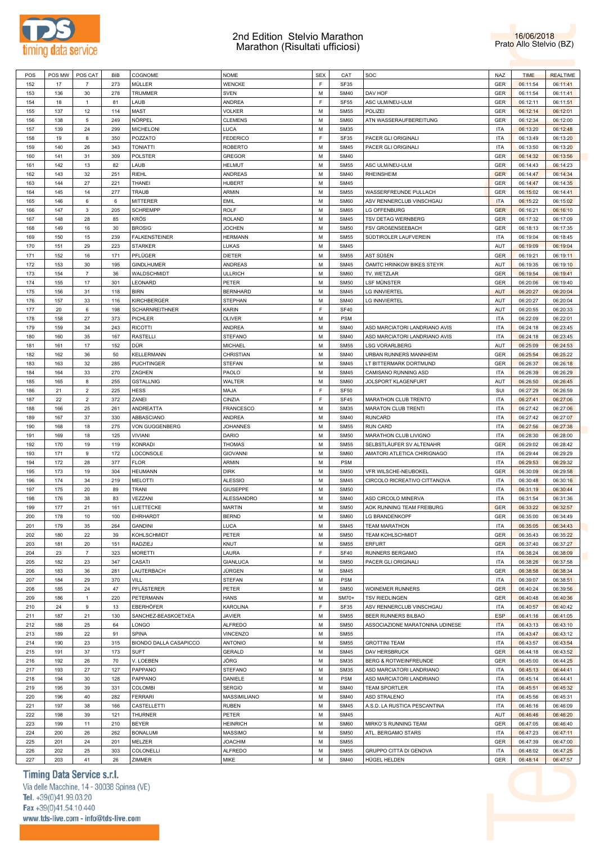



| POS | POS MW | POS CAT        | <b>BIB</b> | COGNOME                | NOME             | <b>SEX</b> | CAT         | SOC                              | <b>NAZ</b> | <b>TIME</b> | <b>REALTIME</b> |
|-----|--------|----------------|------------|------------------------|------------------|------------|-------------|----------------------------------|------------|-------------|-----------------|
|     |        |                |            |                        |                  |            |             |                                  |            |             |                 |
| 152 | 17     | $\overline{7}$ | 273        | MÜLLER                 | <b>WENCKE</b>    | F          | SF35        |                                  | GER        | 06:11:54    | 06:11:41        |
| 153 | 136    | 30             | 278        | <b>TRUMMER</b>         | <b>SVEN</b>      | М          | <b>SM40</b> | DAV HOF                          | GER        | 06:11:54    | 06:11:41        |
| 154 | 18     | $\mathbf{1}$   | 81         | LAUB                   | ANDREA           | E          | <b>SF55</b> | ASC ULM/NEU-ULM                  | GER        | 06:12:11    | 06:11:51        |
| 155 | 137    | 12             | 114        | MAST                   | <b>VOLKER</b>    | М          | <b>SM55</b> | POLIZEI                          | GER        | 06:12:14    | 06:12:01        |
| 156 | 138    | 5              | 249        | NÖRPEL                 | <b>CLEMENS</b>   | M          | <b>SM60</b> | ATN WASSERAUFBEREITUNG           | GER        | 06:12:34    | 06:12:00        |
|     |        |                |            |                        |                  |            |             |                                  |            |             |                 |
| 157 | 139    | 24             | 299        | <b>MICHELONI</b>       | LUCA             | M          | <b>SM35</b> |                                  | <b>ITA</b> | 06:13:20    | 06:12:48        |
| 158 | 19     | 8              | 350        | POZZATO                | <b>FEDERICO</b>  | F          | SF35        | PACER GLI ORIGINALI              | <b>ITA</b> | 06:13:49    | 06:13:20        |
| 159 | 140    | 26             | 343        | <b>TONIATTI</b>        | <b>ROBERTO</b>   | М          | <b>SM45</b> | PACER GLI ORIGINALI              | <b>ITA</b> | 06:13:50    | 06:13:20        |
| 160 | 141    | 31             | 309        | <b>POLSTER</b>         | <b>GREGOR</b>    | М          | <b>SM40</b> |                                  | GER        | 06:14:32    | 06:13:56        |
| 161 | 142    | 13             | 82         | LAUB                   | <b>HELMUT</b>    | М          | <b>SM55</b> | ASC ULM/NEU-ULM                  | <b>GER</b> | 06:14:43    | 06:14:23        |
|     |        |                |            |                        |                  |            |             |                                  |            |             |                 |
| 162 | 143    | 32             | 251        | <b>RIEHL</b>           | <b>ANDREAS</b>   | М          | <b>SM40</b> | <b>RHEINSHEIM</b>                | <b>GER</b> | 06:14:47    | 06:14:34        |
| 163 | 144    | 27             | 221        | <b>THANEI</b>          | <b>HUBERT</b>    | М          | <b>SM45</b> |                                  | GER        | 06:14:47    | 06:14:35        |
| 164 | 145    | 14             | 277        | TRAUB                  | ARMIN            | М          | <b>SM55</b> | WASSERFREUNDE PULLACH            | GER        | 06:15:02    | 06:14:41        |
| 165 | 146    | 6              | 6          | MITTERER               | <b>EMIL</b>      | М          | SM60        | ASV RENNERCLUB VINSCHGAU         | <b>ITA</b> | 06:15:22    | 06:15:02        |
| 166 | 147    | 3              | 205        | <b>SCHREMPP</b>        | <b>ROLF</b>      | M          | SM65        | LG OFFENBURG                     | <b>GER</b> | 06:16:21    | 06:16:10        |
|     |        |                |            |                        |                  |            |             |                                  |            |             |                 |
| 167 | 148    | 28             | 85         | KRÖS                   | <b>ROLAND</b>    | М          | <b>SM45</b> | TSV DETAG WERNBERG               | GER        | 06:17:32    | 06:17:09        |
| 168 | 149    | 16             | 30         | <b>BROSIG</b>          | <b>JOCHEN</b>    | M          | <b>SM50</b> | FSV GROßENSEEBACH                | GER        | 06:18:13    | 06:17:35        |
| 169 | 150    | 15             | 239        | <b>FALKENSTEINER</b>   | <b>HERMANN</b>   | М          | <b>SM55</b> | SÜDTIROLER LAUFVEREIN            | <b>ITA</b> | 06:19:04    | 06:18:45        |
| 170 | 151    | 29             | 223        | <b>STARKER</b>         | LUKAS            | M          | <b>SM45</b> |                                  | AUT        | 06:19:09    | 06:19:04        |
| 171 | 152    | 16             | 171        | PFLÜGER                | <b>DIETER</b>    | М          | <b>SM55</b> | AST SÜßEN                        | GER        | 06:19:21    | 06:19:11        |
|     |        |                |            |                        |                  |            |             |                                  |            |             |                 |
| 172 | 153    | 30             | 195        | <b>GINDLHUMER</b>      | <b>ANDREAS</b>   | M          | <b>SM45</b> | ÖAMTC HRINKOW BIKES STEYR        | AUT        | 06:19:35    | 06:19:10        |
| 173 | 154    | $\overline{7}$ | 36         | WALDSCHMIDT            | <b>ULLRICH</b>   | M          | SM60        | TV. WETZLAR                      | GER        | 06:19:54    | 06:19:41        |
| 174 | 155    | 17             | 301        | LEONARD                | PETER            | M          | <b>SM50</b> | LSF MÜNSTER                      | GER        | 06:20:06    | 06:19:40        |
| 175 | 156    | 31             | 118        | <b>BIRN</b>            | <b>BERNHARD</b>  | М          | <b>SM45</b> | <b>LG INNVIERTEL</b>             | <b>AUT</b> | 06:20:27    | 06:20:04        |
|     |        |                |            |                        | <b>STEPHAN</b>   | M          |             |                                  | AUT        |             |                 |
| 176 | 157    | 33             | 116        | KIRCHBERGER            |                  |            | <b>SM40</b> | <b>LG INNVIERTEL</b>             |            | 06:20:27    | 06:20:04        |
| 177 | 20     | 6              | 198        | <b>SCHARNREITHNER</b>  | KARIN            | F          | <b>SF40</b> |                                  | AUT        | 06:20:55    | 06:20:33        |
| 178 | 158    | 27             | 373        | PICHLER                | <b>OLIVER</b>    | М          | <b>PSM</b>  |                                  | <b>ITA</b> | 06:22:09    | 06:22:01        |
| 179 | 159    | 34             | 243        | <b>RICOTTI</b>         | <b>ANDREA</b>    | М          | <b>SM40</b> | ASD MARCIATORI LANDRIANO AVIS    | <b>ITA</b> | 06:24:18    | 06:23:45        |
| 180 | 160    | 35             | 167        | <b>RASTELLI</b>        | <b>STEFANO</b>   | M          | <b>SM40</b> | ASD MARCIATORI LANDRIANO AVIS    | <b>ITA</b> | 06:24:18    | 06:23:45        |
|     |        |                |            | DÜR                    |                  | М          |             |                                  |            |             |                 |
| 181 | 161    | 17             | 152        |                        | <b>MICHAEL</b>   |            | <b>SM55</b> | <b>LSG VORARLBERG</b>            | AUT        | 06:25:09    | 06:24:53        |
| 182 | 162    | 36             | 50         | KELLERMANN             | CHRISTIAN        | М          | <b>SM40</b> | URBAN RUNNERS MANNHEIM           | GER        | 06:25:54    | 06:25:22        |
| 183 | 163    | 32             | 285        | <b>PUCHTINGER</b>      | <b>STEFAN</b>    | М          | <b>SM45</b> | LT BITTERMARK DORTMUND           | GER        | 06:26:37    | 06:26:18        |
| 184 | 164    | 33             | 270        | ZAGHEN                 | PAOLO            | M          | <b>SM45</b> | CAMISANO RUNNING ASD             | <b>ITA</b> | 06:26:39    | 06:26:29        |
| 185 | 165    | 8              | 255        | <b>GSTALLNIG</b>       | WALTER           | М          | <b>SM60</b> | JOLSPORT KLAGENFURT              | AUT        | 06:26:50    | 06:26:45        |
|     |        |                | 225        |                        |                  | E          | <b>SF50</b> |                                  | SUI        |             |                 |
| 186 | 21     | $\overline{2}$ |            | HESS                   | MAJA             |            |             |                                  |            | 06:27:29    | 06:26:59        |
| 187 | 22     | $\overline{2}$ | 372        | ZANEI                  | CINZIA           | F          | <b>SF45</b> | MARATHON CLUB TRENTO             | <b>ITA</b> | 06:27:41    | 06:27:06        |
| 188 | 166    | 25             | 261        | ANDREATTA              | <b>FRANCESCO</b> | M          | <b>SM35</b> | <b>MARATON CLUB TRENTI</b>       | <b>ITA</b> | 06:27:42    | 06:27:06        |
| 189 | 167    | 37             | 330        | ABBASCIANO             | <b>ANDREA</b>    | M          | <b>SM40</b> | <b>RUNCARD</b>                   | <b>ITA</b> | 06:27:42    | 06:27:07        |
| 190 | 168    | 18             | 275        | VON GUGGENBERG         | <b>JOHANNES</b>  | M          | <b>SM55</b> | <b>RUN CARD</b>                  | <b>ITA</b> | 06:27:56    | 06:27:38        |
| 191 | 169    | 18             | 125        | <b>VIVIANI</b>         | DARIO            | M          | <b>SM50</b> | MARATHON CLUB LIVIGNO            | <b>ITA</b> | 06:28:30    | 06:28:00        |
|     |        |                |            |                        |                  |            |             |                                  |            |             |                 |
| 192 | 170    | 19             | 119        | KONRADI                | <b>THOMAS</b>    | M          | <b>SM55</b> | SELBSTLÄUFER SV ALTENAHR         | GER        | 06:29:02    | 06:28:42        |
| 193 | 171    | 9              | 172        | LOCONSOLE              | <b>GIOVANNI</b>  | M          | <b>SM60</b> | AMATORI ATLETICA CHIRIGNAGO      | <b>ITA</b> | 06:29:44    | 06:29:29        |
| 194 | 172    | 28             | 377        | <b>FLOR</b>            | ARMIN            | М          | <b>PSM</b>  |                                  | <b>ITA</b> | 06:29:53    | 06:29:32        |
| 195 | 173    | 19             | 304        | <b>HEUMANN</b>         | <b>DIRK</b>      | М          | <b>SM50</b> | VFR WILSCHE-NEUBOKEL             | GER        | 06:30:09    | 06:29:58        |
| 196 | 174    | 34             | 219        | <b>MELOTTI</b>         | <b>ALESSIO</b>   | М          | <b>SM45</b> | CIRCOLO RICREATIVO CITTANOVA     | <b>ITA</b> | 06:30:48    | 06:30:16        |
|     |        |                |            |                        |                  |            |             |                                  |            |             |                 |
| 197 | 175    | 20             | 89         | <b>TRANI</b>           | GIUSEPPE         | М          | <b>SM50</b> |                                  | <b>ITA</b> | 06:31:19    | 06:30:44        |
| 198 | 176    | 38             | 83         | VEZZANI                | ALESSANDRO       | М          | <b>SM40</b> | ASD CIRCOLO MINERVA              | <b>ITA</b> | 06:31:54    | 06:31:36        |
| 199 | 177    | 21             | 161        | LUETTECKE              | <b>MARTIN</b>    | М          | <b>SM50</b> | AOK RUNNING TEAM FREIBURG        | <b>GER</b> | 06:33:22    | 06:32:57        |
| 200 | 178    | 10             | 100        | EHRHARDT               | <b>BERND</b>     | М          | <b>SM60</b> | LG BRANDENKOPF                   | GER        | 06:35:00    | 06:34:49        |
| 201 | 179    | 35             | 264        | <b>GANDINI</b>         | LUCA             | М          | <b>SM45</b> | <b>TEAM MARATHON</b>             | <b>ITA</b> | 06:35:05    | 06:34:43        |
|     |        |                |            |                        |                  |            |             |                                  |            |             |                 |
| 202 | 180    | 22             | 39         | KOHLSCHMIDT            | PETER            | M          | <b>SM50</b> | <b>TEAM KOHLSCHMIDT</b>          | GER        | 06:35:43    | 06:35:22        |
| 203 | 181    | 20             | 151        | RADZIEJ                | KNUT             | M          | <b>SM55</b> | <b>ERFURT</b>                    | GER        | 06:37:40    | 06:37:27        |
| 204 | 23     | $\overline{7}$ | 323        | <b>MORETTI</b>         | LAURA            | E          | <b>SF40</b> | RUNNERS BERGAMO                  | <b>ITA</b> | 06:38:24    | 06:38:09        |
| 205 | 182    | 23             | 347        | CASATI                 | <b>GIANLUCA</b>  | M          | <b>SM50</b> | PACER GLI ORIGINALI              | <b>ITA</b> | 06:38:26    | 06:37:58        |
| 206 | 183    | 36             | 281        | LAUTERBACH             | JÜRGEN           | M          | <b>SM45</b> |                                  | GER        | 06:38:58    | 06:38:34        |
|     |        |                |            |                        |                  |            |             |                                  |            |             |                 |
| 207 | 184    | 29             | 370        | VILL                   | <b>STEFAN</b>    | M          | <b>PSM</b>  |                                  | <b>ITA</b> | 06:39:07    | 06:38:51        |
| 208 | 185    | 24             | 47         | PFLÄSTERER             | PETER            | M          | <b>SM50</b> | WOINEMER RUNNERS                 | GER        | 06:40:24    | 06:39:56        |
| 209 | 186    | 1              | 220        | PETERMANN              | <b>HANS</b>      | М          | SM70+       | <b>TSV RIEDLINGEN</b>            | GER        | 06:40:48    | 06:40:36        |
| 210 | 24     | 9              | 13         | EBERHÖFER              | KAROLINA         | F          | <b>SF35</b> | ASV RENNERCLUB VINSCHGAU         | <b>ITA</b> | 06:40:57    | 06:40:42        |
| 211 | 187    | 21             | 130        | SANCHEZ-BEASKOETXEA    | <b>JAVIER</b>    | M          | <b>SM55</b> | BEER RUNNERS BILBAO              | <b>ESP</b> | 06:41:16    | 06:41:05        |
|     |        |                |            |                        |                  |            |             |                                  |            |             |                 |
| 212 | 188    | 25             | 64         | LONGO                  | <b>ALFREDO</b>   | M          | <b>SM50</b> | ASSOCIAZIONE MARATONINA UDINESE  | <b>ITA</b> | 06:43:13    | 06:43:10        |
| 213 | 189    | 22             | 91         | <b>SPINA</b>           | VINCENZO         | М          | <b>SM55</b> |                                  | <b>ITA</b> | 06:43:47    | 06:43:12        |
| 214 | 190    | 23             | 315        | BIONDO DALLA CASAPICCO | <b>ANTONIO</b>   | M          | <b>SM55</b> | <b>GROTTINI TEAM</b>             | <b>ITA</b> | 06:43:57    | 06:43:54        |
| 215 | 191    | 37             | 173        | <b>SUFT</b>            | GERALD           | M          | <b>SM45</b> | DAV HERSBRUCK                    | GER        | 06:44:18    | 06:43:52        |
|     |        |                |            |                        |                  | M          |             |                                  |            |             |                 |
| 216 | 192    | 26             | 70         | V. LOEBEN              | JÖRG             |            | <b>SM35</b> | <b>BERG &amp; ROTWEINFREUNDE</b> | GER        | 06:45:00    | 06:44:25        |
| 217 | 193    | 27             | 127        | PAPPANO                | <b>STEFANO</b>   | М          | <b>SM35</b> | ASD MARCIATORI LANDRIANO         | <b>ITA</b> | 06:45:13    | 06:44:41        |
| 218 | 194    | 30             | 128        | PAPPANO                | DANIELE          | M          | <b>PSM</b>  | ASD MARCIATORI LANDRIANO         | <b>ITA</b> | 06:45:14    | 06:44:41        |
| 219 | 195    | 39             | 331        | <b>COLOMBI</b>         | SERGIO           | M          | <b>SM40</b> | <b>TEAM SPORTLER</b>             | <b>ITA</b> | 06:45:51    | 06:45:32        |
| 220 | 196    | 40             | 282        | <b>FERRARI</b>         | MASSIMILIANO     | M          | <b>SM40</b> | ASD STRALENO                     | <b>ITA</b> | 06:45:56    | 06:45:31        |
| 221 |        |                |            |                        |                  | M          |             |                                  |            |             |                 |
|     | 197    | 38             | 166        | CASTELLETTI            | <b>RUBEN</b>     |            | <b>SM45</b> | A.S.D. LA RUSTICA PESCANTINA     | <b>ITA</b> | 06:46:16    | 06:46:09        |
| 222 | 198    | 39             | 121        | THURNER                | PETER            | M          | <b>SM45</b> |                                  | AUT        | 06:46:46    | 06:46:20        |
| 223 | 199    | 11             | 210        | <b>BEYER</b>           | <b>HEINRICH</b>  | M          | SM60        | MIRKO'S RUNNING TEAM             | GER        | 06:47:05    | 06:46:40        |
| 224 | 200    | 26             | 262        | <b>BONALUMI</b>        | <b>MASSIMO</b>   | M          | <b>SM50</b> | ATL. BERGAMO STARS               | <b>ITA</b> | 06:47:23    | 06:47:11        |
| 225 | 201    | 24             | 201        | MELZER                 | <b>JOACHIM</b>   | M          | <b>SM55</b> |                                  | GER        | 06:47:39    | 06:47:00        |
|     |        |                |            |                        |                  |            |             |                                  |            |             |                 |
| 226 | 202    | 25             | 303        | COLONELLI              | <b>ALFREDO</b>   | М          | <b>SM55</b> | GRUPPO CITTÀ DI GENOVA           | <b>ITA</b> | 06:48:02    | 06:47:25        |
| 227 | 203    | 41             | 26         | ZIMMER                 | MIKE             | M          | <b>SM40</b> | HÜGEL HELDEN                     | GER        | 06:48:14    | 06:47:57        |

## **Timing Data Service s.r.l.**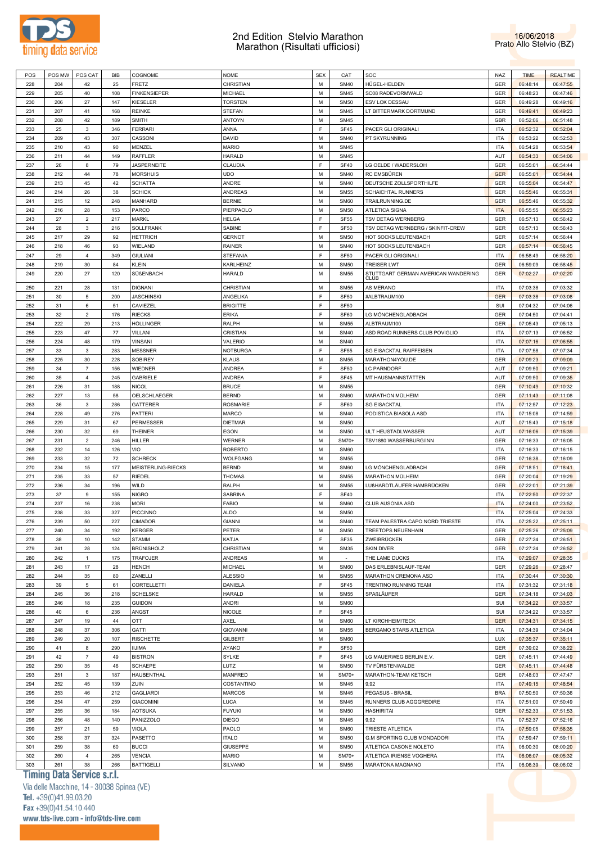



| POS |     | POS MW   POS CAT | BIB | COGNOME             | NOME            | <b>SEX</b> | CAT         | SOC                                 | NAZ        | <b>TIME</b> | <b>REALTIME</b> |
|-----|-----|------------------|-----|---------------------|-----------------|------------|-------------|-------------------------------------|------------|-------------|-----------------|
| 228 | 204 | 42               | 25  | <b>FRETZ</b>        | CHRISTIAN       | M          | <b>SM40</b> | HÜGEL-HELDEN                        | GER        | 06:48:14    | 06:47:55        |
| 229 | 205 | 40               | 108 | <b>FINKENSIEPER</b> | MICHAEL         | M          | <b>SM45</b> | SC08 RADEVORMWALD                   | GER        | 06:48:23    | 06:47:46        |
| 230 | 206 | 27               | 147 | KIESELER            | TORSTEN         | M          | <b>SM50</b> | ESV LOK DESSAU                      | GER        | 06:49:28    | 06:49:16        |
| 231 | 207 | 41               | 168 | <b>REINKE</b>       | STEFAN          | M          | <b>SM45</b> | LT BITTERMARK DORTMUND              | GER        | 06:49:41    | 06:49:23        |
|     |     |                  |     |                     |                 |            |             |                                     |            |             |                 |
| 232 | 208 | 42               | 189 | <b>SMITH</b>        | <b>ANTOYN</b>   | M          | <b>SM45</b> |                                     | GBR        | 06:52:06    | 06:51:48        |
| 233 | 25  | $\mathbf 3$      | 346 | <b>FERRARI</b>      | ANNA            | F          | <b>SF45</b> | PACER GLI ORIGINALI                 | <b>ITA</b> | 06:52:32    | 06:52:04        |
| 234 | 209 | 43               | 307 | CASSONI             | DAVID           | M          | <b>SM40</b> | PT SKYRUNNING                       | <b>ITA</b> | 06:53:22    | 06:52:53        |
| 235 | 210 | 43               | 90  | MENZEL              | <b>MARIO</b>    | M          | <b>SM45</b> |                                     | <b>ITA</b> | 06:54:28    | 06:53:54        |
| 236 | 211 | 44               | 149 | RAFFLER             | HARALD          | M          | <b>SM45</b> |                                     | AUT        | 06:54:33    | 06:54:06        |
| 237 | 26  | 8                | 79  | <b>JASPERNEITE</b>  | CLAUDIA         | F          | <b>SF40</b> | LG OELDE / WADERSLOH                | <b>GER</b> | 06:55:01    | 06:54:44        |
| 238 | 212 | 44               | 78  | <b>MORSHUIS</b>     | UDO             | M          | <b>SM40</b> | <b>RC EMSBÜREN</b>                  | <b>GER</b> | 06:55:01    | 06:54:44        |
| 239 | 213 | 45               | 42  | <b>SCHATTA</b>      | ANDRE           | M          | <b>SM40</b> | DEUTSCHE ZOLLSPORTHILFE             | GER        | 06:55:04    | 06:54:47        |
| 240 | 214 | 26               | 38  | <b>SCHICK</b>       | <b>ANDREAS</b>  | M          | <b>SM55</b> | SCHAICHTAL RUNNERS                  | GER        | 06:55:46    | 06:55:31        |
| 241 | 215 | 12               | 248 | MANHARD             | <b>BERNIE</b>   | M          | <b>SM60</b> | TRAILRUNNING.DE                     | <b>GER</b> | 06:55:46    | 06:55:32        |
|     |     |                  |     |                     |                 |            |             |                                     |            |             |                 |
| 242 | 216 | 28               | 153 | PARCO               | PIERPAOLO       | M          | <b>SM50</b> | <b>ATLETICA SIGNA</b>               | <b>ITA</b> | 06:55:55    | 06:55:23        |
| 243 | 27  | $\overline{c}$   | 217 | MARKL               | HELGA           | F          | <b>SF55</b> | TSV DETAG WERNBERG                  | GER        | 06:57:13    | 06:56:42        |
| 244 | 28  | 3                | 216 | SOLLFRANK           | SABINE          | F          | <b>SF50</b> | TSV DETAG WERNBERG / SKINFIT-CREW   | GER        | 06:57:13    | 06:56:43        |
| 245 | 217 | 29               | 92  | <b>HETTRICH</b>     | <b>GERNOT</b>   | M          | <b>SM50</b> | HOT SOCKS LEUTENBACH                | GER        | 06:57:14    | 06:56:44        |
| 246 | 218 | 46               | 93  | WIELAND             | RAINER          | M          | <b>SM40</b> | HOT SOCKS LEUTENBACH                | GER        | 06:57:14    | 06:56:45        |
| 247 | 29  | 4                | 349 | <b>GIULIANI</b>     | <b>STEFANIA</b> | F          | <b>SF50</b> | PACER GLI ORIGINALI                 | <b>ITA</b> | 06:58:49    | 06:58:20        |
| 248 | 219 | 30               | 84  | KLEIN               | KARLHEINZ       | M          | <b>SM50</b> | <b>TREISER LWT</b>                  | GER        | 06:59:09    | 06:58:45        |
| 249 | 220 | 27               | 120 | SÜßENBACH           | HARALD          | M          | <b>SM55</b> | STUTTGART GERMAN AMERICAN WANDERING | GER        | 07:02:27    | 07:02:20        |
|     |     |                  |     |                     |                 |            |             | <b>CLUB</b>                         |            |             |                 |
| 250 | 221 | 28               | 131 | <b>DIGNANI</b>      | CHRISTIAN       | M          | <b>SM55</b> | <b>AS MERANO</b>                    | <b>ITA</b> | 07:03:38    | 07:03:32        |
| 251 | 30  | 5                | 200 | <b>JASCHINSKI</b>   | ANGELIKA        | F          | <b>SF50</b> | #ALBTRAUM100                        | <b>GER</b> | 07:03:38    | 07:03:08        |
| 252 | 31  | 6                | 51  | CAVIEZEL            | <b>BRIGITTE</b> | F          | <b>SF50</b> |                                     | SUI        | 07:04:32    | 07:04:06        |
| 253 | 32  | $\overline{2}$   | 176 | <b>RIECKS</b>       | <b>ERIKA</b>    | F          | <b>SF60</b> | LG MÖNCHENGLADBACH                  | GER        | 07:04:50    | 07:04:41        |
| 254 | 222 | 29               | 213 | HÖLLINGER           | RALPH           | M          | <b>SM55</b> | ALBTRAUM100                         | GER        | 07:05:43    | 07:05:13        |
| 255 | 223 | 47               | 77  | VILLANI             | CRISTIAN        | M          | <b>SM40</b> | ASD ROAD RUNNERS CLUB POVIGLIO      | <b>ITA</b> | 07:07:13    | 07:06:52        |
|     |     | 48               |     |                     |                 |            | <b>SM40</b> |                                     |            |             |                 |
| 256 | 224 |                  | 179 | <b>VINSANI</b>      | VALERIO         | M          |             |                                     | <b>ITA</b> | 07:07:16    | 07:06:55        |
| 257 | 33  | 3                | 283 | <b>MESSNER</b>      | <b>NOTBURGA</b> | F          | <b>SF55</b> | SG EISACKTAL RAIFFEISEN             | <b>ITA</b> | 07:07:58    | 07:07:34        |
| 258 | 225 | 30               | 228 | SOBIREY             | KLAUS           | M          | <b>SM55</b> | MARATHON4YOU.DE                     | <b>GER</b> | 07:09:23    | 07:09:09        |
| 259 | 34  | $\overline{7}$   | 156 | <b>WIEDNER</b>      | <b>ANDREA</b>   | F          | <b>SF50</b> | <b>LC PARNDORF</b>                  | AUT        | 07:09:50    | 07:09:21        |
| 260 | 35  | $\overline{4}$   | 245 | <b>GABRIELE</b>     | <b>ANDREA</b>   | F          | <b>SF45</b> | MT HAUSMANNSTÄTTEN                  | AUT        | 07:09:50    | 07:09:35        |
| 261 | 226 | 31               | 188 | <b>NICOL</b>        | <b>BRUCE</b>    | M          | <b>SM55</b> |                                     | <b>GER</b> | 07:10:49    | 07:10:32        |
| 262 | 227 | 13               | 58  | OELSCHLAEGER        | <b>BERND</b>    | M          | <b>SM60</b> | MARATHON MÜLHEIM                    | <b>GER</b> | 07:11:43    | 07:11:08        |
| 263 | 36  | 3                | 286 | <b>GATTERER</b>     | <b>ROSMARIE</b> | F          | <b>SF60</b> | <b>SG EISACKTAL</b>                 | <b>ITA</b> | 07:12:57    | 07:12:23        |
| 264 | 228 | 49               | 276 | <b>PATTERI</b>      | <b>MARCO</b>    | M          | <b>SM40</b> | PODISTICA BIASOLA ASD               | <b>ITA</b> | 07:15:08    | 07:14:59        |
| 265 | 229 | 31               | 67  | PERMESSER           | <b>DIETMAR</b>  | M          | <b>SM50</b> |                                     | AUT        | 07:15:43    | 07:15:18        |
| 266 | 230 | 32               | 69  | <b>THEINER</b>      | EGON            | M          | <b>SM50</b> | ULT HEUSTADLWASSER                  | AUT        | 07:16:06    | 07:15:39        |
|     |     |                  |     |                     |                 |            |             |                                     |            |             |                 |
| 267 | 231 | $\overline{2}$   | 246 | <b>HILLER</b>       | WERNER          | M          | SM70+       | TSV1880 WASSERBURG/INN              | <b>GER</b> | 07:16:33    | 07:16:05        |
|     |     | 14               | 126 | VIO                 | <b>ROBERTO</b>  | M          | SM60        |                                     | <b>ITA</b> | 07:16:33    | 07:16:15        |
| 268 | 232 |                  |     |                     | <b>WOLFGANG</b> | M          | <b>SM55</b> |                                     |            | 07:16:38    | 07:16:09        |
| 269 | 233 | 32               | 72  | <b>SCHRECK</b>      |                 |            |             |                                     | <b>GER</b> |             |                 |
| 270 | 234 | 15               | 177 | MEISTERLING-RIECKS  | <b>BERND</b>    | M          | <b>SM60</b> | LG MÖNCHENGLADBACH                  | <b>GER</b> | 07:18:51    | 07:18:41        |
| 271 | 235 | 33               | 57  | <b>RIEDEL</b>       | <b>THOMAS</b>   | M          | <b>SM55</b> | MARATHON MÜLHEIM                    | <b>GER</b> | 07:20:04    | 07:19:29        |
| 272 | 236 | 34               | 196 | WILD                | RALPH           | M          | <b>SM55</b> | LUßHARDTLÄUFER HAMBRÜCKEN           | GER        | 07:22:01    | 07:21:39        |
| 273 | 37  | 9                | 155 | <b>NIGRO</b>        | SABRINA         | F          | <b>SF40</b> |                                     | <b>ITA</b> | 07:22:50    | 07:22:37        |
|     |     |                  | 238 |                     |                 | M          | <b>SM60</b> |                                     |            |             |                 |
| 274 | 237 | 16               |     | <b>MORI</b>         | FABIO           |            |             | CLUB AUSONIA ASD                    | <b>ITA</b> | 07:24:00    | 07:23:52        |
| 275 | 238 | 33               | 327 | <b>PICCINNO</b>     | <b>ALDO</b>     | M          | <b>SM50</b> |                                     | <b>ITA</b> | 07:25:04    | 07:24:33        |
| 276 | 239 | 50               | 227 | <b>CIMADOR</b>      | <b>GIANNI</b>   | М          | <b>SM40</b> | TEAM PALESTRA CAPO NORD TRIESTE     | <b>ITA</b> | 07:25:22    | 07:25:11        |
| 277 | 240 | 34               | 192 | <b>KERGER</b>       | PETER           | М          | <b>SM50</b> | TREETOPS NEUENHAIN                  | <b>GER</b> | 07:25:26    | 07:25:09        |
| 278 | 38  | 10               | 142 | <b>STAMM</b>        | KATJA           | F          | SF35        | ZWEIBRÜCKEN                         | GER        | 07:27:24    | 07:26:51        |
| 279 | 241 | 28               | 124 | BRÜNISHOLZ          | CHRISTIAN       | М          | <b>SM35</b> | <b>SKIN DIVER</b>                   | GER        | 07:27:24    | 07:26:52        |
| 280 | 242 | $\mathbf{1}$     | 175 | <b>TRAFOJER</b>     | <b>ANDREAS</b>  | M          | $\sim$      | THE LAME DUCKS                      | <b>ITA</b> | 07:29:07    | 07:28:35        |
| 281 | 243 | 17               | 28  | <b>HENCH</b>        | <b>MICHAEL</b>  | M          | <b>SM60</b> | DAS ERLEBNISLAUF-TEAM               | GER        | 07:29:26    | 07:28:47        |
| 282 | 244 | 35               | 80  | ZANELLI             | <b>ALESSIO</b>  | M          | <b>SM55</b> | MARATHON CREMONA ASD                | <b>ITA</b> | 07:30:44    | 07:30:30        |
| 283 | 39  | 5                | 61  | CORTELLETTI         | DANIELA         | F          | SF45        | TRENTINO RUNNING TEAM               | <b>ITA</b> | 07:31:32    | 07:31:18        |
| 284 | 245 | 36               | 218 | <b>SCHELSKE</b>     | <b>HARALD</b>   | M          | <b>SM55</b> | SPAßLÄUFER                          | <b>GER</b> | 07:34:18    | 07:34:03        |
|     |     |                  |     |                     |                 |            |             |                                     |            |             |                 |
| 285 | 246 | 18               | 235 | <b>GUIDON</b>       | ANDRI           | M          | <b>SM60</b> |                                     | SUI        | 07:34:22    | 07:33:57        |
| 286 | 40  | 6                | 236 | ANGST               | <b>NICOLE</b>   | F          | SF45        |                                     | SUI        | 07:34:22    | 07:33:57        |
| 287 | 247 | 19               | 44  | OTT                 | AXEL            | M          | <b>SM60</b> | LT KIRCHHEIM/TECK                   | <b>GER</b> | 07:34:31    | 07:34:15        |
| 288 | 248 | 37               | 306 | <b>GATTI</b>        | <b>GIOVANNI</b> | M          | <b>SM55</b> | BERGAMO STARS ATLETICA              | <b>ITA</b> | 07:34:39    | 07:34:04        |
| 289 | 249 | 20               | 107 | <b>RISCHETTE</b>    | <b>GILBERT</b>  | М          | SM60        |                                     | LUX        | 07:35:37    | 07:35:11        |
| 290 | 41  | 8                | 290 | <b>IIJIMA</b>       | AYAKO           | F          | <b>SF50</b> |                                     | GER        | 07:39:02    | 07:38:22        |
| 291 | 42  | $\overline{7}$   | 49  | <b>BISTRON</b>      | SYLKE           | F          | SF45        | LG MAUERWEG BERLIN E.V.             | GER        | 07:45:11    | 07:44:49        |
| 292 | 250 | 35               | 46  | <b>SCHAEPE</b>      | LUTZ            | M          | <b>SM50</b> | TV FÜRSTENWALDE                     | GER        | 07:45:11    | 07:44:48        |
| 293 | 251 | $\mathbf{3}$     | 187 | <b>HAUBENTHAL</b>   | MANFRED         | М          | SM70+       | MARATHON-TEAM KETSCH                | GER        | 07:48:03    | 07:47:47        |
|     |     |                  |     |                     |                 |            |             |                                     |            |             |                 |
| 294 | 252 | 45               | 139 | ZUIN                | COSTANTINO      | M          | <b>SM45</b> | 9,92                                | <b>ITA</b> | 07:49:15    | 07:48:54        |
| 295 | 253 | 46               | 212 | <b>GAGLIARDI</b>    | <b>MARCOS</b>   | М          | <b>SM45</b> | PEGASUS - BRASIL                    | <b>BRA</b> | 07:50:50    | 07:50:36        |
| 296 | 254 | 47               | 259 | <b>GIACOMINI</b>    | LUCA            | M          | <b>SM45</b> | RUNNERS CLUB AGGGREDIRE             | <b>ITA</b> | 07:51:00    | 07:50:49        |
| 297 | 255 | 36               | 184 | <b>AOTSUKA</b>      | <b>FUYUKI</b>   | M          | <b>SM50</b> | <b>HASHIRITAI</b>                   | <b>GER</b> | 07:52:33    | 07:51:53        |
| 298 | 256 | 48               | 140 | PANIZZOLO           | <b>DIEGO</b>    | М          | <b>SM45</b> | 9,92                                | <b>ITA</b> | 07:52:37    | 07:52:16        |
| 299 | 257 | 21               | 59  | VIOLA               | PAOLO           | M          | <b>SM60</b> | TRIESTE ATLETICA                    | <b>ITA</b> | 07:59:05    | 07:58:35        |
| 300 | 258 | 37               | 324 | PASETTO             | <b>ITALO</b>    | М          | <b>SM50</b> | <b>G.M SPORTING CLUB MONDADORI</b>  | <b>ITA</b> | 07:59:47    | 07:59:11        |
| 301 | 259 | 38               | 60  | <b>BUCCI</b>        | <b>GIUSEPPE</b> | М          | <b>SM50</b> | ATLETICA CASONE NOLETO              | <b>ITA</b> | 08:00:30    | 08:00:20        |
| 302 | 260 | $\overline{4}$   | 265 | <b>VENCIA</b>       | MARIO           | М          | SM70+       | ATLETICA IRIENSE VOGHERA            | <b>ITA</b> | 08:06:07    | 08:05:32        |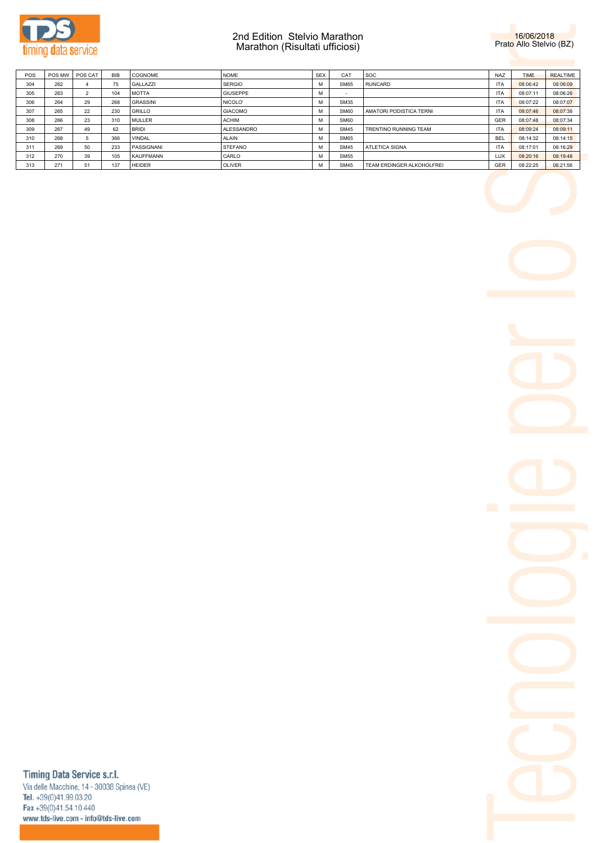



| POS | POS MW | POS CAT | <b>BIB</b> | <b>COGNOME</b>   | <b>NOME</b>     | <b>SEX</b> | CAT         | <b>SOC</b>                | NA7        | <b>TIME</b> | <b>REALTIME</b> |
|-----|--------|---------|------------|------------------|-----------------|------------|-------------|---------------------------|------------|-------------|-----------------|
| 304 | 262    |         | 75         | <b>GALLAZZI</b>  | <b>SERGIO</b>   | м          | <b>SM65</b> | <b>RUNCARD</b>            | <b>ITA</b> | 08:06:42    | 08:06:09        |
| 305 | 263    |         | 104        | <b>MOTTA</b>     | <b>GIUSEPPE</b> | м          |             |                           | <b>ITA</b> | 08:07:11    | 08:06:26        |
| 306 | 264    | 29      | 268        | <b>GRASSINI</b>  | NICOLO'         | м          | <b>SM35</b> |                           | <b>ITA</b> | 08:07:22    | 08:07:07        |
| 307 | 265    | 22      | 230        | <b>GRILLO</b>    | <b>GIACOMO</b>  | м          | <b>SM60</b> | AMATORI PODISTICA TERNI   | <b>ITA</b> | 08:07:46    | 08:07:38        |
| 308 | 266    | 23      | 310        | <b>MULLER</b>    | <b>ACHIM</b>    | м          | <b>SM60</b> |                           | <b>GER</b> | 08:07:48    | 08:07:34        |
| 309 | 267    | 49      | 62         | <b>BRIDI</b>     | ALESSANDRO      | M          | <b>SM45</b> | TRENTINO RUNNING TEAM     | <b>ITA</b> | 08:09:24    | 08:09:11        |
| 310 | 268    |         | 366        | <b>VINDAL</b>    | <b>ALAIN</b>    | м          | <b>SM65</b> |                           | <b>BEL</b> | 08:14:32    | 08:14:15        |
| 311 | 269    | 50      | 233        | PASSIGNANI       | <b>STEFANO</b>  | м          | <b>SM45</b> | <b>ATLETICA SIGNA</b>     | <b>ITA</b> | 08:17:01    | 08:16:29        |
| 312 | 270    | 39      | 105        | <b>KAUFFMANN</b> | CARLO           | м          | <b>SM55</b> |                           | <b>LUX</b> | 08:20:16    | 08:19:48        |
| 313 | 271    | 51      | 137        | <b>HEIDER</b>    | <b>OLIVER</b>   | M          | <b>SM45</b> | TEAM ERDINGER ALKOHOLFREI | GER        | 08:22:25    | 08:21:56        |

# Timing Data Service s.r.l.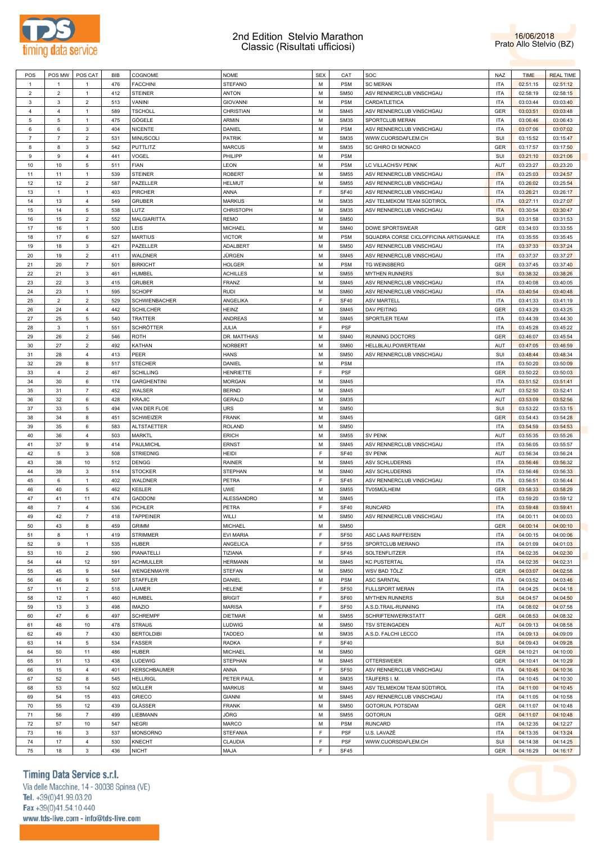

### 2nd Edition Stelvio Marathon Classic (Risultati ufficiosi)



| POS            | POS MW         | POS CAT                   | BIB | COGNOME              | <b>NOME</b>      | <b>SEX</b> | CAT         | SOC                                    | NAZ        | <b>TIME</b> | <b>REAL TIME</b> |
|----------------|----------------|---------------------------|-----|----------------------|------------------|------------|-------------|----------------------------------------|------------|-------------|------------------|
| $\mathbf{1}$   | $\overline{1}$ |                           | 476 | <b>FACCHINI</b>      | <b>STEFANO</b>   | M          | <b>PSM</b>  | <b>SC MERAN</b>                        | <b>ITA</b> | 02:51:15    | 02:51:12         |
| $\overline{2}$ | $\overline{2}$ | $\mathbf{1}$              | 412 | <b>STEINER</b>       | ANTON            | M          | <b>SM50</b> | ASV RENNERCLUB VINSCHGAU               | <b>ITA</b> | 02:58:19    | 02:58:15         |
| 3              | 3              | $\overline{2}$            | 513 | VANINI               | <b>GIOVANNI</b>  | M          | <b>PSM</b>  | CARDATLETICA                           | <b>ITA</b> | 03:03:44    | 03:03:40         |
| 4              | 4              | $\mathbf{1}$              | 589 | <b>TSCHOLL</b>       | CHRISTIAN        | M          | <b>SM45</b> | ASV RENNERCLUB VINSCHGAU               | <b>GER</b> | 03:03:51    | 03:03:48         |
|                |                |                           |     |                      |                  |            |             |                                        |            |             |                  |
| 5              | 5              | $\mathbf{1}$              | 475 | GÖGELE               | ARMIN            | М          | <b>SM35</b> | SPORTCLUB MERAN                        | <b>ITA</b> | 03:06:46    | 03:06:43         |
| 6              | 6              | 3                         | 404 | <b>NICENTE</b>       | DANIEL           | M          | <b>PSM</b>  | ASV RENNERCLUB VINSCHGAU               | <b>ITA</b> | 03:07:06    | 03:07:02         |
| $\overline{7}$ | $\overline{7}$ | $\overline{2}$            | 531 | <b>MINUSCOLI</b>     | <b>PATRIK</b>    | M          | <b>SM35</b> | WWW.CUORSDAFLEM.CH                     | SUI        | 03:15:52    | 03:15:47         |
| 8              | 8              | 3                         | 542 | <b>PUTTLITZ</b>      | <b>MARCUS</b>    | M          | <b>SM35</b> | SC GHIRO DI MONACO                     | <b>GER</b> | 03:17:57    | 03:17:50         |
| 9              | 9              | $\overline{4}$            | 441 | VOGEL                | PHILIPP          | M          | <b>PSM</b>  |                                        | SUI        | 03:21:10    | 03:21:06         |
| 10             | 10             | 5                         | 511 | <b>FIAN</b>          | LEON             | M          | <b>PSM</b>  | LC VILLACH/SV PENK                     | AUT        | 03:23:27    | 03:23:20         |
| 11             | 11             | $\mathbf{1}$              | 539 | <b>STEINER</b>       | <b>ROBERT</b>    | М          | <b>SM55</b> | ASV RENNERCLUB VINSCHGAU               | <b>ITA</b> | 03:25:03    | 03:24:57         |
| 12             | 12             | $\overline{c}$            | 587 | PAZELLER             | HELMUT           | M          | <b>SM55</b> | ASV RENNERCLUB VINSCHGAU               | <b>ITA</b> | 03:26:02    | 03:25:54         |
| 13             | $\mathbf{1}$   | $\mathbf{1}$              | 403 | <b>PIRCHER</b>       | ANNA             | F          | <b>SF40</b> | ASV RENNERCLUB VINSCHGAU               | <b>ITA</b> | 03:26:21    | 03:26:17         |
| 14             | 13             | $\overline{4}$            | 549 | <b>GRUBER</b>        | <b>MARKUS</b>    | M          | <b>SM35</b> | ASV TELMEKOM TEAM SÜDTIROL             | <b>ITA</b> | 03:27:11    | 03:27:07         |
| 15             | 14             | 5                         | 538 | LUTZ                 | <b>CHRISTOPH</b> | М          | <b>SM35</b> | ASV RENNERCLUB VINSCHGAU               | <b>ITA</b> | 03:30:54    | 03:30:47         |
| 16             | 15             | $\overline{2}$            | 552 | MALGIARITTA          | <b>REMO</b>      | M          | <b>SM50</b> |                                        | SUI        | 03:31:58    | 03:31:53         |
|                |                |                           |     |                      |                  | M          |             |                                        |            |             |                  |
| 17             | 16             | $\mathbf{1}$              | 500 | LEIS                 | <b>MICHAEL</b>   |            | <b>SM40</b> | DOWE SPORTSWEAR                        | <b>GER</b> | 03:34:03    | 03:33:55         |
| 18             | 17             | 6                         | 527 | <b>MARTIUS</b>       | <b>VICTOR</b>    | M          | <b>PSM</b>  | SQUADRA CORSE CICLOFFICINA ARTIGIANALE | <b>ITA</b> | 03:35:55    | 03:35:45         |
| 19             | 18             | 3                         | 421 | PAZELLER             | ADALBERT         | M          | <b>SM50</b> | ASV RENNERCLUB VINSCHGAU               | <b>ITA</b> | 03:37:33    | 03:37:24         |
| 20             | 19             | $\overline{2}$            | 411 | WALDNER              | JÜRGEN           | M          | <b>SM45</b> | ASV RENNERCLUB VINSCHGAU               | <b>ITA</b> | 03:37:37    | 03:37:27         |
| 21             | 20             | $\overline{7}$            | 501 | <b>BIRKICHT</b>      | <b>HOLGER</b>    | М          | <b>PSM</b>  | <b>TG WEINSBERG</b>                    | <b>GER</b> | 03:37:45    | 03:37:40         |
| 22             | 21             | 3                         | 461 | HUMBEL               | ACHILLES         | M          | <b>SM55</b> | <b>MYTHEN RUNNERS</b>                  | SUI        | 03:38:32    | 03:38:26         |
| 23             | 22             | 3                         | 415 | <b>GRUBER</b>        | <b>FRANZ</b>     | M          | <b>SM45</b> | ASV RENNERCLUB VINSCHGAU               | <b>ITA</b> | 03:40:08    | 03:40:05         |
| 24             | 23             | $\mathbf{1}$              | 595 | <b>SCHOPF</b>        | <b>RUDI</b>      | M          | <b>SM60</b> | ASV RENNERCLUB VINSCHGAU               | <b>ITA</b> | 03:40:54    | 03:40:48         |
| 25             | $\overline{2}$ | $\overline{2}$            | 529 | <b>SCHWIENBACHER</b> | ANGELIKA         | F          | <b>SF40</b> | <b>ASV MARTELL</b>                     | <b>ITA</b> | 03:41:33    | 03:41:19         |
| 26             | 24             | $\overline{4}$            | 442 | <b>SCHILCHER</b>     | HEINZ            | M          | <b>SM45</b> | <b>DAV PEITING</b>                     | <b>GER</b> | 03:43:29    | 03:43:25         |
| 27             | 25             | 5                         | 540 | <b>TRATTER</b>       | ANDREAS          | М          | <b>SM45</b> | SPORTLER TEAM                          | <b>ITA</b> | 03:44:39    | 03:44:30         |
|                |                |                           |     |                      |                  |            |             |                                        |            |             |                  |
| 28             | 3              | $\mathbf{1}$              | 551 | SCHRÖTTER            | JULIA            | F          | <b>PSF</b>  |                                        | <b>ITA</b> | 03:45:28    | 03:45:22         |
| 29             | 26             | $\overline{2}$            | 546 | <b>ROTH</b>          | DR. MATTHIAS     | M          | <b>SM40</b> | <b>RUNNING DOCTORS</b>                 | <b>GER</b> | 03:46:07    | 03:45:54         |
| 30             | 27             | $\overline{2}$            | 492 | KATHAN               | <b>NORBERT</b>   | M          | <b>SM60</b> | HELLBLAU.POWERTEAM                     | AUT        | 03:47:05    | 03:46:59         |
| 31             | 28             | $\overline{4}$            | 413 | PEER                 | <b>HANS</b>      | M          | <b>SM50</b> | ASV RENNERCLUB VINSCHGAU               | SUI        | 03:48:44    | 03:48:34         |
| 32             | 29             | 8                         | 517 | <b>STECHER</b>       | DANIEL           | M          | <b>PSM</b>  |                                        | <b>ITA</b> | 03:50:20    | 03:50:09         |
| 33             | $\overline{4}$ | $\overline{2}$            | 467 | <b>SCHILLING</b>     | <b>HENRIETTE</b> | F          | <b>PSF</b>  |                                        | <b>GER</b> | 03:50:22    | 03:50:03         |
| 34             | 30             | 6                         | 174 | <b>GARGHENTINI</b>   | <b>MORGAN</b>    | M          | <b>SM45</b> |                                        | <b>ITA</b> | 03:51:52    | 03:51:41         |
| 35             | 31             | $\overline{7}$            | 452 | WALSER               | <b>BERND</b>     | М          | <b>SM45</b> |                                        | AUT        | 03:52:50    | 03:52:41         |
| 36             | 32             | 6                         | 428 | <b>KRAJIC</b>        | GERALD           | M          | <b>SM35</b> |                                        | AUT        | 03:53:09    | 03:52:56         |
| 37             | 33             | 5                         | 494 | VAN DER FLOE         | URS              | М          | <b>SM50</b> |                                        | SUI        | 03:53:22    | 03:53:15         |
|                |                |                           |     |                      |                  |            |             |                                        |            |             |                  |
| 38             | 34             | 8                         | 451 | <b>SCHWEIZER</b>     | <b>FRANK</b>     | M          | <b>SM45</b> |                                        | <b>GER</b> | 03:54:43    | 03:54:28         |
| 39             | 35             | 6                         | 583 | <b>ALTSTAETTER</b>   | <b>ROLAND</b>    | М          | <b>SM50</b> |                                        | <b>ITA</b> | 03:54:59    | 03:54:53         |
| 40             | 36             | $\overline{4}$            | 503 | <b>MARKTL</b>        | ERICH            | M          | <b>SM55</b> | <b>SV PENK</b>                         | AUT        | 03:55:35    | 03:55:26         |
| 41             | 37             | 9                         | 414 | PAULMICHL            | ERNST            | M          | <b>SM45</b> | ASV RENNERCLUB VINSCHGAU               | <b>ITA</b> | 03:56:05    | 03:55:57         |
| 42             | 5              | 3                         | 508 | <b>STRIEDNIG</b>     | HEIDI            | F          | <b>SF40</b> | <b>SV PENK</b>                         | AUT        | 03:56:34    | 03:56:24         |
| 43             | 38             | 10                        | 512 | DENGG                | RAINER           | М          | <b>SM45</b> | ASV SCHLUDERNS                         | <b>ITA</b> | 03:56:46    | 03:56:32         |
| 44             | 39             | 3                         | 514 | <b>STOCKER</b>       | <b>STEPHAN</b>   | M          | <b>SM40</b> | ASV SCHLUDERNS                         | <b>ITA</b> | 03:56:46    | 03:56:33         |
| 45             | 6              | $\mathbf{1}$              | 402 | WALDNER              | PETRA            | F          | <b>SF45</b> | ASV RENNERCLUB VINSCHGAU               | <b>ITA</b> | 03:56:51    | 03:56:44         |
| 46             | 40             | 5                         | 462 | KEßLER               | UWE              | M          | <b>SM55</b> | TV05MÜLHEIM                            | <b>GER</b> | 03:58:33    | 03:58:29         |
| 47             | 41             | 11                        | 474 | <b>GADDONI</b>       | ALESSANDRO       | М          | <b>SM45</b> |                                        | <b>ITA</b> | 03:59:20    | 03:59:12         |
| 48             | $\overline{7}$ | 4                         | 536 | PICHLER              | PETRA            | F          | <b>SF40</b> | <b>RUNCARD</b>                         | <b>ITA</b> | 03:59:48    | 03:59:41         |
|                |                | $\overline{7}$            |     |                      |                  |            |             |                                        |            |             |                  |
| 49             | 42             |                           | 418 | <b>TAPPEINER</b>     | WILLI            | M          | <b>SM50</b> | ASV RENNERCLUB VINSCHGAU               | <b>ITA</b> | 04:00:11    | 04:00:03         |
| 50             | 43             | 8                         | 459 | <b>GRIMM</b>         | MICHAEL          | M          | <b>SM50</b> |                                        | GER        | 04:00:14    | 04:00:10         |
| 51             | 8              | $\mathbf{1}$              | 419 | <b>STRIMMER</b>      | <b>EVI MARIA</b> | F          | <b>SF50</b> | ASC LAAS RAIFFEISEN                    | <b>ITA</b> | 04:00:15    | 04:00:06         |
| 52             | 9              | $\mathbf{1}$              | 535 | <b>HUBER</b>         | ANGELICA         | F          | <b>SF55</b> | SPORTCLUB MERANO                       | <b>ITA</b> | 04:01:09    | 04:01:03         |
| 53             | 10             | $\sqrt{2}$                | 590 | PIANATELLI           | <b>TIZIANA</b>   | F          | <b>SF45</b> | SOLTENFLITZER                          | <b>ITA</b> | 04:02:35    | 04:02:30         |
| 54             | 44             | 12                        | 591 | <b>ACHMULLER</b>     | <b>HERMANN</b>   | M          | <b>SM45</b> | <b>KC PUSTERTAL</b>                    | <b>ITA</b> | 04:02:35    | 04:02:31         |
| 55             | 45             | 9                         | 544 | WENGENMAYR           | <b>STEFAN</b>    | M          | <b>SM50</b> | WSV BAD TÖLZ                           | <b>GER</b> | 04:03:07    | 04:02:58         |
| 56             | 46             | 9                         | 507 | <b>STAFFLER</b>      | DANIEL           | M          | <b>PSM</b>  | ASC SARNTAL                            | <b>ITA</b> | 04:03:52    | 04:03:46         |
| 57             | 11             | $\overline{2}$            | 518 | LAIMER               | <b>HELENE</b>    | F          | <b>SF50</b> | <b>FULLSPORT MERAN</b>                 | <b>ITA</b> | 04:04:25    | 04:04:18         |
| 58             | 12             | $\mathbf{1}$              | 460 | HUMBEL               | <b>BRIGIT</b>    | F          | SF60        | <b>MYTHEN RUNNERS</b>                  | SUI        | 04:04:57    | 04:04:50         |
|                |                |                           |     |                      | <b>MARISA</b>    | F          |             | A.S.D.TRAIL-RUNNING                    |            |             |                  |
| 59             | 13             | $\ensuremath{\mathsf{3}}$ | 498 | <b>IMAZIO</b>        |                  |            | <b>SF50</b> |                                        | <b>ITA</b> | 04:08:02    | 04:07:58         |
| 60             | 47             | 6                         | 497 | <b>SCHREMPF</b>      | <b>DIETMAR</b>   | M          | <b>SM55</b> | SCHRIFTENWERKSTATT                     | <b>GER</b> | 04:08:53    | 04:08:32         |
| 61             | 48             | 10                        | 478 | <b>STRAUß</b>        | LUDWIG           | M          | <b>SM50</b> | <b>TSV STEINGADEN</b>                  | <b>AUT</b> | 04:09:13    | 04:08:58         |
| 62             | 49             | $\overline{7}$            | 430 | <b>BERTOLDIBI</b>    | <b>TADDEO</b>    | M          | <b>SM35</b> | A.S.D. FALCHI LECCO                    | <b>ITA</b> | 04:09:13    | 04:09:09         |
| 63             | 14             | 5                         | 534 | <b>FASSER</b>        | <b>RADKA</b>     | F          | <b>SF40</b> |                                        | SUI        | 04:09:43    | 04:09:28         |
| 64             | 50             | 11                        | 486 | <b>HUBER</b>         | MICHAEL          | M          | <b>SM50</b> |                                        | <b>GER</b> | 04:10:21    | 04:10:00         |
| 65             | 51             | 13                        | 438 | LUDEWIG              | <b>STEPHAN</b>   | M          | <b>SM45</b> | <b>OTTERSWEIER</b>                     | GER        | 04:10:41    | 04:10:29         |
| 66             | 15             | 4                         | 401 | <b>KERSCHBAUMER</b>  | ANNA             | F          | <b>SF50</b> | ASV RENNERCLUB VINSCHGAU               | <b>ITA</b> | 04:10:45    | 04:10:36         |
| 67             | 52             | 8                         | 545 | <b>HELLRIGL</b>      | PETER PAUL       | M          | <b>SM35</b> | TÄUFERS I. M.                          | <b>ITA</b> | 04:10:45    | 04:10:30         |
| 68             | 53             | 14                        | 502 | MÜLLER               | <b>MARKUS</b>    | M          | <b>SM45</b> | ASV TELMEKOM TEAM SÜDTIROL             | <b>ITA</b> | 04:11:00    | 04:10:45         |
|                |                |                           |     |                      |                  |            |             |                                        |            |             |                  |
| 69             | 54             | 15                        | 493 | <b>GRIECO</b>        | GIANNI           | M          | <b>SM45</b> | ASV RENNERCLUB VINSCHGAU               | <b>ITA</b> | 04:11:05    | 04:10:58         |
| 70             | 55             | 12                        | 439 | GLÄSSER              | <b>FRANK</b>     | M          | <b>SM50</b> | GOTORUN, POTSDAM                       | <b>GER</b> | 04:11:07    | 04:10:48         |
| 71             | 56             | $\overline{7}$            | 499 | LIEBMANN             | JÖRG             | M          | <b>SM55</b> | <b>GOTORUN</b>                         | GER        | 04:11:07    | 04:10:48         |
| 72             | 57             | 10                        | 547 | <b>NEGRI</b>         | <b>MARCO</b>     | M          | <b>PSM</b>  | <b>RUNCARD</b>                         | <b>ITA</b> | 04:12:35    | 04:12:27         |
| 73             | 16             | 3                         | 537 | MONSORNO             | <b>STEFANIA</b>  | F          | <b>PSF</b>  | U.S. LAVAZÈ                            | <b>ITA</b> | 04:13:35    | 04:13:24         |
| 74             | 17             | 4                         | 530 | <b>KNECHT</b>        | CLAUDIA          | F          | <b>PSF</b>  | WWW.CUORSDAFLEM.CH                     | SUI        | 04:14:38    | 04:14:25         |
| 75             | 18             | $\mathsf 3$               | 436 | <b>NICHT</b>         | MAJA             | F          | SF45        |                                        | GER        | 04:16:29    | 04:16:17         |

# Timing Data Service s.r.l.

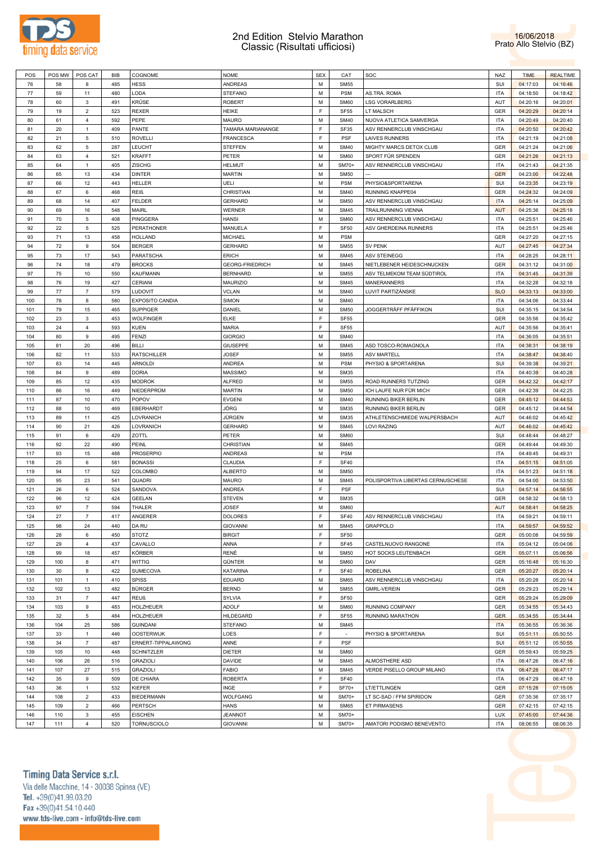

#### 2nd Edition Stelvio Marathon Classic (Risultati ufficiosi)



| POS | POS MW | POS CAT          | <b>BIB</b> | COGNOME                | <b>NOME</b>            | <b>SEX</b> | CAT         | SOC                               | <b>NAZ</b> | <b>TIME</b> | <b>REALTIME</b> |
|-----|--------|------------------|------------|------------------------|------------------------|------------|-------------|-----------------------------------|------------|-------------|-----------------|
| 76  | 58     | 8                | 485        | <b>HESS</b>            | ANDREAS                | M          | <b>SM55</b> |                                   | SUI        | 04:17:03    | 04:16:46        |
| 77  | 59     | 11               | 480        | LODA                   | <b>STEFANO</b>         | М          | <b>PSM</b>  | AS.TRA. ROMA                      | <b>ITA</b> | 04:18:50    | 04:18:42        |
| 78  | 60     | 3                | 491        | KRÜSE                  | <b>ROBERT</b>          | М          | <b>SM60</b> | <b>LSG VORARLBERG</b>             | AUT        | 04:20:16    | 04:20:01        |
|     |        |                  |            |                        |                        |            |             |                                   |            |             |                 |
| 79  | 19     | $\overline{2}$   | 523        | <b>REXER</b>           | HEIKE                  | F          | <b>SF55</b> | LT MALSCH                         | GER        | 04:20:29    | 04:20:14        |
| 80  | 61     | $\overline{4}$   | 592        | PEPE                   | <b>MAURO</b>           | M          | <b>SM40</b> | NUOVA ATLETICA SAMVERGA           | <b>ITA</b> | 04:20:49    | 04:20:40        |
| 81  | 20     | $\overline{1}$   | 409        | PANTE                  | TAMARA MARIANANGE      | F          | SF35        | ASV RENNERCLUB VINSCHGAU          | <b>ITA</b> | 04:20:50    | 04:20:42        |
| 82  | 21     | 5                | 510        | <b>ROVELLI</b>         | <b>FRANCESCA</b>       | F          | <b>PSF</b>  | LAIVES RUNNERS                    | <b>ITA</b> | 04:21:19    | 04:21:08        |
| 83  | 62     | 5                | 287        | LEUCHT                 | STEFFEN                | М          | <b>SM40</b> | MIGHTY MARCS DETOX CLUB           | GER        | 04:21:24    | 04:21:06        |
|     |        |                  |            |                        |                        |            |             |                                   |            |             |                 |
| 84  | 63     | $\overline{4}$   | 521        | <b>KRAFFT</b>          | PETER                  | М          | <b>SM60</b> | SPORT FÜR SPENDEN                 | GER        | 04:21:26    | 04:21:13        |
| 85  | 64     | -1               | 405        | ZISCHG                 | <b>HELMUT</b>          | М          | SM70+       | ASV RENNERCLUB VINSCHGAU          | <b>ITA</b> | 04:21:43    | 04:21:35        |
| 86  | 65     | 13               | 434        | <b>DINTER</b>          | <b>MARTIN</b>          | М          | <b>SM50</b> | L.                                | <b>GER</b> | 04:23:00    | 04:22:48        |
| 87  | 66     | 12               | 443        | HELLER                 | UELI                   | М          | <b>PSM</b>  | PHYSIO&SPORTARENA                 | SUI        | 04:23:35    | 04:23:19        |
| 88  | 67     | 6                | 468        | REIß                   | CHRISTIAN              | М          | <b>SM40</b> | RUNNING KNAPPE04                  | GER        | 04:24:32    | 04:24:09        |
| 89  | 68     | 14               | 407        | <b>FELDER</b>          | <b>GERHARD</b>         | М          | <b>SM50</b> | ASV RENNERCLUB VINSCHGAU          | <b>ITA</b> | 04:25:14    | 04:25:09        |
|     |        |                  |            |                        |                        |            |             |                                   |            |             |                 |
| 90  | 69     | 16               | 548        | MAIRL                  | WERNER                 | М          | <b>SM45</b> | TRAILRUNNING VIENNA               | <b>AUT</b> | 04:25:36    | 04:25:18        |
| 91  | 70     | 5                | 408        | PINGGERA               | HANSI                  | М          | SM60        | ASV RENNERCLUB VINSCHGAU          | <b>ITA</b> | 04:25:51    | 04:25:46        |
| 92  | 22     | 5                | 525        | <b>PERATHONER</b>      | MANUELA                | E          | <b>SF50</b> | ASV GHERDEINA RUNNERS             | <b>ITA</b> | 04:25:51    | 04:25:46        |
| 93  | 71     | 13               | 458        | HOLLAND                | MICHAEL                | M          | <b>PSM</b>  |                                   | GER        | 04:27:20    | 04:27:15        |
| 94  | 72     | $9$              | 504        | <b>BERGER</b>          | <b>GERHARD</b>         | М          | <b>SM55</b> | <b>SV PENK</b>                    | AUT        | 04:27:45    | 04:27:34        |
|     |        |                  |            |                        |                        |            |             |                                   |            |             |                 |
| 95  | 73     | 17               | 543        | PARATSCHA              | <b>ERICH</b>           | М          | <b>SM45</b> | ASV STEINEGG                      | <b>ITA</b> | 04:28:25    | 04:28:11        |
| 96  | 74     | 18               | 479        | <b>BROCKS</b>          | <b>GEORG-FRIEDRICH</b> | М          | <b>SM45</b> | NIETLEBENER HEIDESCHNUCKEN        | GER        | 04:31:12    | 04:31:00        |
| 97  | 75     | 10               | 550        | KAUFMANN               | <b>BERNHARD</b>        | М          | <b>SM55</b> | ASV TELMEKOM TEAM SÜDTIROL        | <b>ITA</b> | 04:31:45    | 04:31:39        |
| 98  | 76     | 19               | 427        | <b>CERIANI</b>         | MAURIZIO               | М          | <b>SM45</b> | <b>MANERANNERS</b>                | <b>ITA</b> | 04:32:28    | 04:32:18        |
| 99  | 77     | 7                | 579        | LUDOVIT                | <b>VCLAN</b>           | М          | <b>SM40</b> | LUVIT PARTIZÁNSKE                 | <b>SLO</b> | 04:33:13    | 04:33:00        |
|     |        |                  |            |                        |                        | М          |             |                                   | <b>ITA</b> |             |                 |
| 100 | 78     | 8                | 580        | <b>EXPOSITO CANDIA</b> | <b>SIMON</b>           |            | <b>SM40</b> |                                   |            | 04:34:06    | 04:33:44        |
| 101 | 79     | 15               | 465        | <b>SUPPIGER</b>        | DANIEL                 | М          | <b>SM50</b> | JOGGERTRÄFF PFÄFFIKON             | SUI        | 04:35:15    | 04:34:54        |
| 102 | 23     | $\mathsf 3$      | 453        | <b>WOLFINGER</b>       | ELKE                   | F          | <b>SF55</b> |                                   | GER        | 04:35:56    | 04:35:42        |
| 103 | 24     | 4                | 593        | KUEN                   | MARIA                  | F          | <b>SF55</b> |                                   | AUT        | 04:35:56    | 04:35:41        |
| 104 | 80     | $9$              | 495        | FENZI                  | <b>GIORGIO</b>         | M          | <b>SM40</b> |                                   | <b>ITA</b> | 04:36:05    | 04:35:51        |
|     |        |                  |            |                        |                        |            |             |                                   |            |             |                 |
| 105 | 81     | 20               | 496        | BILLI                  | <b>GIUSEPPE</b>        | М          | <b>SM45</b> | ASD TOSCO-ROMAGNOLA               | <b>ITA</b> | 04:38:31    | 04:38:19        |
| 106 | 82     | 11               | 533        | <b>RATSCHILLER</b>     | <b>JOSEF</b>           | М          | <b>SM55</b> | <b>ASV MARTELL</b>                | <b>ITA</b> | 04:38:47    | 04:38:40        |
| 107 | 83     | 14               | 445        | ARNOLDI                | ANDREA                 | М          | <b>PSM</b>  | PHYSIO & SPORTARENA               | SUI        | 04:39:38    | 04:39:21        |
| 108 | 84     | $9$              | 489        | <b>DORIA</b>           | <b>MASSIMO</b>         | M          | <b>SM35</b> |                                   | <b>ITA</b> | 04:40:39    | 04:40:28        |
| 109 | 85     | 12               | 435        | MODROK                 | <b>ALFRED</b>          | М          | <b>SM55</b> | ROAD RUNNERS TUTZING              | GER        | 04:42:32    | 04:42:17        |
| 110 | 86     | 16               | 449        |                        |                        | M          | <b>SM50</b> |                                   | GER        |             |                 |
|     |        |                  |            | NIEDERPRÜM             | <b>MARTIN</b>          |            |             | ICH LAUFE NUR FÜR MICH            |            | 04:42:39    | 04:42:25        |
| 111 | 87     | 10               | 470        | POPOV                  | <b>EVGENI</b>          | М          | <b>SM40</b> | RUNNING BIKER BERLIN              | GER        | 04:45:12    | 04:44:53        |
| 112 | 88     | 10               | 469        | EBERHARDT              | JÖRG                   | М          | <b>SM35</b> | RUNNING BIKER BERLIN              | GER        | 04:45:12    | 04:44:54        |
| 113 | 89     | 11               | 425        | LOVRANICH              | JÜRGEN                 | М          | <b>SM35</b> | ATHLETENSCHMIEDE WALPERSBACH      | AUT        | 04:46:02    | 04:45:42        |
| 114 | 90     | 21               | 426        | LOVRANICH              | <b>GERHARD</b>         | M          | <b>SM45</b> | LOVI RAZING                       | AUT        | 04:46:02    | 04:45:42        |
| 115 | 91     | 6                | 429        | ZOTTL                  | PETER                  | М          | <b>SM60</b> |                                   | SUI        | 04:48:44    | 04:48:27        |
|     | 92     | 22               | 490        | PEINL                  | CHRISTIAN              | М          | <b>SM45</b> |                                   | GER        |             |                 |
| 116 |        |                  |            |                        |                        |            |             |                                   |            | 04:49:44    | 04:49:30        |
| 117 | 93     | 15               | 488        | <b>PROSERPIO</b>       | ANDREAS                | М          | <b>PSM</b>  |                                   | <b>ITA</b> | 04:49:45    | 04:49:31        |
| 118 | 25     | 6                | 581        | <b>BONASSI</b>         | CLAUDIA                | F          | <b>SF40</b> |                                   | <b>ITA</b> | 04:51:15    | 04:51:05        |
| 119 | 94     | 17               | 522        | COLOMBO                | ALBERTO                | M          | <b>SM50</b> |                                   | <b>ITA</b> | 04:51:23    | 04:51:18        |
| 120 | 95     | 23               | 541        | <b>QUADRI</b>          | <b>MAURO</b>           | M          | <b>SM45</b> | POLISPORTIVA LIBERTAS CERNUSCHESE | <b>ITA</b> | 04:54:00    | 04:53:50        |
| 121 | 26     | 6                | 524        | SANDOVA                | ANDREA                 | F          | <b>PSF</b>  |                                   | SUI        | 04:57:14    | 04:56:55        |
| 122 | 96     |                  | 424        |                        |                        | M          | <b>SM35</b> |                                   | GER        |             |                 |
|     |        | 12               |            | GEELAN                 | <b>STEVEN</b>          |            |             |                                   |            | 04:58:32    | 04:58:13        |
| 123 | 97     | $\overline{7}$   | 594        | THALER                 | <b>JOSEF</b>           | М          | <b>SM60</b> |                                   | <b>AUT</b> | 04:58:41    | 04:58:25        |
| 124 | 27     | $\overline{7}$   | 417        | ANGERER                | <b>DOLORES</b>         | F          | <b>SF40</b> | ASV RENNERCLUB VINSCHGAU          | <b>ITA</b> | 04:59:21    | 04:59:11        |
| 125 | 98     | 24               | 440        | DA RU                  | <b>GIOVANNI</b>        | М          | <b>SM45</b> | GRAPPOLO                          | <b>ITA</b> | 04:59:57    | 04:59:52        |
| 126 | 28     | $\,6\,$          | 450        | <b>STOTZ</b>           | <b>BIRGIT</b>          | F          | <b>SF50</b> |                                   | GER        | 05:00:08    | 04:59:59        |
| 127 | 29     | $\overline{4}$   | 437        | CAVALLO                | ANNA                   | F          | <b>SF45</b> | CASTELNUOVO RANGONE               | <b>ITA</b> | 05:04:12    | 05:04:06        |
|     | 99     | 18               | 457        | KÖRBER                 | RENÉ                   | М          | <b>SM50</b> |                                   | GER        |             |                 |
| 128 |        |                  |            |                        |                        |            |             | HOT SOCKS LEUTENBACH              |            | 05:07:11    | 05:06:56        |
| 129 | 100    | 8                | 471        | WITTIG                 | GÜNTER                 | М          | <b>SM60</b> | DAV                               | GER        | 05:16:48    | 05:16:30        |
| 130 | 30     | $\bf8$           | 422        | SUMECOVA               | <b>KATARINA</b>        | F          | <b>SF40</b> | <b>ROBELINA</b>                   | GER        | 05:20:27    | 05:20:14        |
| 131 | 101    | $\mathbf{1}$     | 410        | SPISS                  | EDUARD                 | М          | <b>SM65</b> | ASV RENNERCLUB VINSCHGAU          | <b>ITA</b> | 05:20:28    | 05:20:14        |
| 132 | 102    | 13               | 482        | <b>BÜRGER</b>          | <b>BERND</b>           | М          | <b>SM55</b> | <b>GMRL-VEREIN</b>                | GER        | 05:29:23    | 05:29:14        |
| 133 | 31     | $\overline{7}$   | 447        | <b>REUß</b>            | SYLVIA                 | F          | <b>SF50</b> |                                   | GER        | 05:29:24    | 05:29:09        |
|     |        |                  |            |                        |                        |            |             |                                   |            |             |                 |
| 134 | 103    | $\boldsymbol{9}$ | 483        | HOLZHEUER              | <b>ADOLF</b>           | М          | <b>SM60</b> | RUNNING COMPANY                   | GER        | 05:34:55    | 05:34:43        |
| 135 | 32     | $\sqrt{5}$       | 484        | HOLZHEUER              | HILDEGARD              | F          | <b>SF55</b> | RUNNING MARATHON                  | <b>GER</b> | 05:34:55    | 05:34:44        |
| 136 | 104    | 25               | 586        | <b>GUINDANI</b>        | <b>STEFANO</b>         | М          | <b>SM45</b> |                                   | <b>ITA</b> | 05:36:55    | 05:36:36        |
| 137 | 33     | $\mathbf{1}$     | 446        | <b>OOSTERWIJK</b>      | LOES                   | F          | $\sim$      | PHYSIO & SPORTARENA               | SUI        | 05:51:11    | 05:50:55        |
| 138 | 34     | $\overline{7}$   | 487        | ERNERT-TIPPALAWONG     | ANNE                   | F          | PSF         |                                   | SUI        | 05:51:12    | 05:50:55        |
|     |        |                  |            |                        |                        |            |             |                                   |            |             |                 |
| 139 | 105    | 10               | 448        | SCHNITZLER             | <b>DIETER</b>          | М          | <b>SM60</b> |                                   | GER        | 05:59:43    | 05:59:25        |
| 140 | 106    | 26               | 516        | <b>GRAZIOLI</b>        | <b>DAVIDE</b>          | М          | <b>SM45</b> | ALMOSTHERE ASD                    | <b>ITA</b> | 06:47:26    | 06:47:16        |
| 141 | 107    | 27               | 515        | <b>GRAZIOLI</b>        | <b>FABIO</b>           | М          | <b>SM45</b> | VERDE PISELLO GROUP MILANO        | <b>ITA</b> | 06:47:28    | 06:47:17        |
| 142 | 35     | $\boldsymbol{9}$ | 509        | DE CHIARA              | <b>ROBERTA</b>         | F          | <b>SF40</b> |                                   | <b>ITA</b> | 06:47:29    | 06:47:18        |
| 143 | 36     | $\mathbf{1}$     | 532        | KIEFER                 | INGE                   | F          | SF70+       | LT/ETTLINGEN                      | GER        | 07:15:28    | 07:15:05        |
|     |        | $\overline{2}$   | 433        |                        |                        | М          | SM70+       |                                   | GER        |             |                 |
| 144 | 108    |                  |            | <b>BIEDERMANN</b>      | <b>WOLFGANG</b>        |            |             | LT SC-SAD / FFM SPIRIDON          |            | 07:35:36    | 07:35:17        |
| 145 | 109    | $\overline{2}$   | 466        | PERTSCH                | <b>HANS</b>            | М          | <b>SM65</b> | ET PIRMASENS                      | GER        | 07:42:15    | 07:42:15        |
| 146 | 110    | $\mathbf 3$      | 455        | <b>EISCHEN</b>         | <b>JEANNOT</b>         | М          | SM70+       |                                   | <b>LUX</b> | 07:45:00    | 07:44:36        |
| 147 | 111    | $\overline{4}$   | 520        | <b>TORNUSCIOLO</b>     | <b>GIOVANNI</b>        | М          | SM70+       | AMATORI PODISMO BENEVENTO         | <b>ITA</b> | 08:06:55    | 08:06:35        |

Timing Data Service s.r.l.

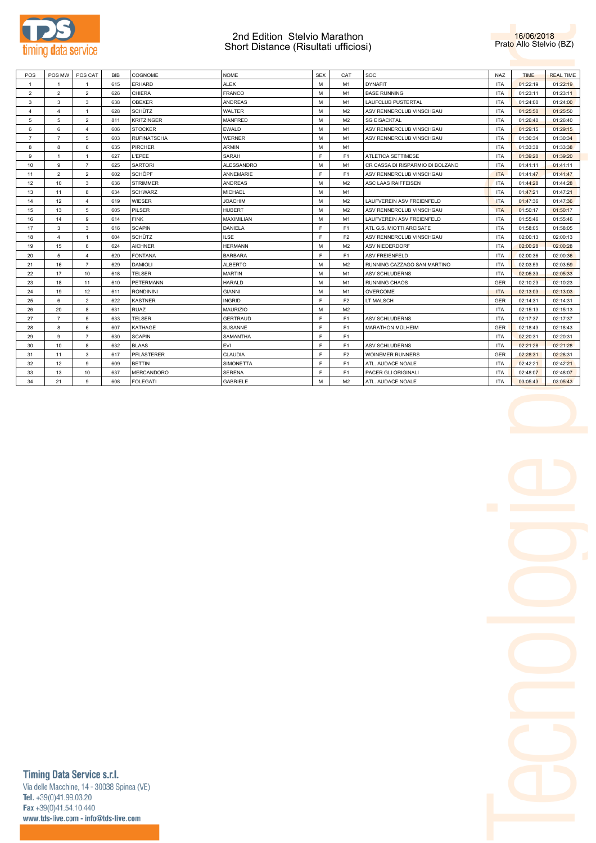

### 2nd Edition Stelvio Marathon Short Distance (Risultati ufficiosi)



| POS            | POS MW         | POS CAT                 | <b>BIB</b> | COGNOME            | <b>NOME</b>       | <b>SEX</b> | CAT            | soc                              | <b>NAZ</b> | <b>TIME</b> | <b>REAL TIME</b> |
|----------------|----------------|-------------------------|------------|--------------------|-------------------|------------|----------------|----------------------------------|------------|-------------|------------------|
| $\mathbf{1}$   | $\mathbf{1}$   |                         | 615        | <b>ERHARD</b>      | <b>ALEX</b>       | M          | M1             | <b>DYNAFIT</b>                   | <b>ITA</b> | 01:22:19    | 01:22:19         |
| $\overline{2}$ | $\overline{2}$ | $\overline{2}$          | 626        | CHIERA             | <b>FRANCO</b>     | M          | M <sub>1</sub> | <b>BASE RUNNING</b>              | <b>ITA</b> | 01:23:11    | 01:23:11         |
| 3              | 3              | 3                       | 638        | OBEXER             | <b>ANDREAS</b>    | M          | M1             | LAUFCLUB PUSTERTAL               | <b>ITA</b> | 01:24:00    | 01:24:00         |
| $\overline{4}$ | $\overline{4}$ | $\mathbf{1}$            | 628        | <b>SCHÜTZ</b>      | WALTER            | M          | M <sub>2</sub> | ASV RENNERCLUB VINSCHGAU         | ITA        | 01:25:50    | 01:25:50         |
| 5              | 5              | $\overline{2}$          | 811        | <b>KRITZINGER</b>  | <b>MANFRED</b>    | M          | M <sub>2</sub> | <b>SG EISACKTAL</b>              | <b>ITA</b> | 01:26:40    | 01:26:40         |
| 6              | 6              | $\overline{\mathbf{4}}$ | 606        | <b>STOCKER</b>     | EWALD             | M          | M1             | ASV RENNERCLUB VINSCHGAU         | <b>ITA</b> | 01:29:15    | 01:29:15         |
| $\overline{7}$ | $\overline{7}$ | 5                       | 603        | <b>RUFINATSCHA</b> | <b>WERNER</b>     | M          | M1             | ASV RENNERCLUB VINSCHGAU         | <b>ITA</b> | 01:30:34    | 01:30:34         |
| 8              | 8              | 6                       | 635        | <b>PIRCHER</b>     | <b>ARMIN</b>      | M          | M1             |                                  | <b>ITA</b> | 01:33:38    | 01:33:38         |
| 9              | $\mathbf{1}$   | $\mathbf{1}$            | 627        | L'EPEE             | <b>SARAH</b>      | E          | F1             | ATLETICA SETTIMESE               | <b>ITA</b> | 01:39:20    | 01:39:20         |
| 10             | 9              | $\overline{7}$          | 625        | <b>SARTORI</b>     | <b>ALESSANDRO</b> | M          | M1             | CR CASSA DI RISPARMIO DI BOLZANO | <b>ITA</b> | 01:41:11    | 01:41:11         |
| 11             | $\overline{2}$ | $\overline{2}$          | 602        | <b>SCHÖPF</b>      | ANNEMARIE         | E          | F1             | ASV RENNERCLUB VINSCHGAU         | <b>ITA</b> | 01:41:47    | 01:41:47         |
| 12             | 10             | 3                       | 636        | <b>STRIMMER</b>    | <b>ANDREAS</b>    | M          | M <sub>2</sub> | ASC LAAS RAIFFEISEN              | <b>ITA</b> | 01:44:28    | 01:44:28         |
| 13             | 11             | 8                       | 634        | <b>SCHWARZ</b>     | <b>MICHAEL</b>    | M          | M1             |                                  | <b>ITA</b> | 01:47:21    | 01:47:21         |
| 14             | 12             | $\overline{4}$          | 619        | WIESER             | <b>JOACHIM</b>    | M          | M <sub>2</sub> | LAUFVEREIN ASV FREIENFELD        | <b>ITA</b> | 01:47:36    | 01:47:36         |
| 15             | 13             | 5                       | 605        | PILSER             | <b>HUBERT</b>     | M          | M <sub>2</sub> | ASV RENNERCLUB VINSCHGAU         | <b>ITA</b> | 01:50:17    | 01:50:17         |
| 16             | 14             | 9                       | 614        | <b>FINK</b>        | MAXIMILIAN        | M          | M1             | LAUFVEREIN ASV FREIENFELD        | <b>ITA</b> | 01:55:46    | 01:55:46         |
| 17             | 3              | 3                       | 616        | <b>SCAPIN</b>      | DANIELA           | E          | F1             | ATL G.S. MIOTTI ARCISATE         | <b>ITA</b> | 01:58:05    | 01:58:05         |
| 18             | $\overline{4}$ | $\mathbf{1}$            | 604        | <b>SCHÜTZ</b>      | <b>ILSE</b>       | E          | F2             | ASV RENNERCLUB VINSCHGAU         | <b>ITA</b> | 02:00:13    | 02:00:13         |
| 19             | 15             | 6                       | 624        | <b>AICHNER</b>     | <b>HERMANN</b>    | M          | M <sub>2</sub> | <b>ASV NIEDERDORF</b>            | <b>ITA</b> | 02:00:28    | 02:00:28         |
| 20             | 5              | 4                       | 620        | <b>FONTANA</b>     | <b>BARBARA</b>    | E          | F <sub>1</sub> | <b>ASV FREIENFELD</b>            | ITA        | 02:00:36    | 02:00:36         |
| 21             | 16             | $\overline{7}$          | 629        | <b>DAMIOLI</b>     | <b>ALBERTO</b>    | M          | M <sub>2</sub> | RUNNING CAZZAGO SAN MARTINO      | <b>ITA</b> | 02:03:59    | 02:03:59         |
| 22             | 17             | 10                      | 618        | <b>TELSER</b>      | <b>MARTIN</b>     | M          | M1             | ASV SCHLUDERNS                   | <b>ITA</b> | 02:05:33    | 02:05:33         |
| 23             | 18             | 11                      | 610        | <b>PETERMANN</b>   | <b>HARALD</b>     | M          | M1             | <b>RUNNING CHAOS</b>             | <b>GER</b> | 02:10:23    | 02:10:23         |
| 24             | 19             | 12                      | 611        | <b>RONDININI</b>   | <b>GIANNI</b>     | M          | M1             | <b>OVERCOME</b>                  | <b>ITA</b> | 02:13:03    | 02:13:03         |
| 25             | 6              | $\overline{2}$          | 622        | <b>KASTNER</b>     | <b>INGRID</b>     | E          | F <sub>2</sub> | LT MALSCH                        | <b>GER</b> | 02:14:31    | 02:14:31         |
| 26             | 20             | 8                       | 631        | <b>RUAZ</b>        | <b>MAURIZIO</b>   | M          | M <sub>2</sub> |                                  | <b>ITA</b> | 02:15:13    | 02:15:13         |
| 27             | $\overline{7}$ | 5                       | 633        | <b>TELSER</b>      | <b>GERTRAUD</b>   | E          | F <sub>1</sub> | <b>ASV SCHLUDERNS</b>            | <b>ITA</b> | 02:17:37    | 02:17:37         |
| 28             | 8              | 6                       | 607        | KATHAGE            | SUSANNE           | F.         | F <sub>1</sub> | MARATHON MÜLHEIM                 | <b>GER</b> | 02:18:43    | 02:18:43         |
| 29             | 9              | $\overline{7}$          | 630        | <b>SCAPIN</b>      | SAMANTHA          | E          | F <sub>1</sub> |                                  | <b>ITA</b> | 02:20:31    | 02:20:31         |
| 30             | 10             | 8                       | 632        | <b>BLAAS</b>       | EVI               | E          | F1             | <b>ASV SCHLUDERNS</b>            | <b>ITA</b> | 02:21:28    | 02:21:28         |
| 31             | 11             | 3                       | 617        | PFLÄSTERER         | CLAUDIA           | E          | F <sub>2</sub> | <b>WOINEMER RUNNERS</b>          | <b>GER</b> | 02:28:31    | 02:28:31         |
| 32             | 12             | 9                       | 609        | <b>BETTIN</b>      | <b>SIMONETTA</b>  | E          | F <sub>1</sub> | ATL. AUDACE NOALE                | <b>ITA</b> | 02:42:21    | 02:42:21         |
| 33             | 13             | 10                      | 637        | <b>MERCANDORO</b>  | <b>SERENA</b>     | E          | F <sub>1</sub> | PACER GLI ORIGINALI              | <b>ITA</b> | 02:48:07    | 02:48:07         |
| 34             | 21             | 9                       | 608        | <b>FOLEGATI</b>    | <b>GABRIELE</b>   | M          | M <sub>2</sub> | ATL. AUDACE NOALE                | <b>ITA</b> | 03:05:43    | 03:05:43         |



Timing Data Service s.r.l.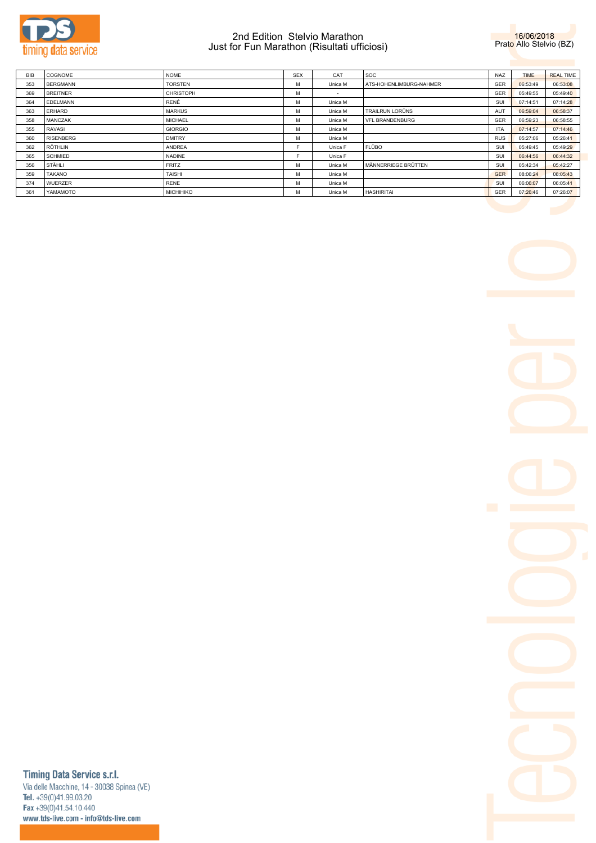

## 2nd Edition Stelvio Marathon Just for Fun Marathon (Risultati ufficiosi)



| <b>BIB</b> | <b>COGNOME</b>   | <b>NOME</b>      | <b>SEX</b> | CAT     | <b>SOC</b>              | <b>NAZ</b> | <b>TIME</b> | <b>REAL TIME</b> |
|------------|------------------|------------------|------------|---------|-------------------------|------------|-------------|------------------|
| 353        | <b>BERGMANN</b>  | <b>TORSTEN</b>   | M          | Unica M | ATS-HOHENLIMBURG-NAHMER | GER        | 06:53:49    | 06:53:08         |
| 369        | <b>BREITNER</b>  | <b>CHRISTOPH</b> | м          | $\sim$  |                         | GER        | 05:49:55    | 05:49:40         |
| 364        | <b>EDELMANN</b>  | RENÉ             | м          | Unica M |                         | SUI        | 07:14:51    | 07:14:28         |
| 363        | ERHARD           | <b>MARKUS</b>    | M          | Unica M | <b>TRAILRUN LORÜNS</b>  | AUT        | 06:59:04    | 06:58:37         |
| 358        | <b>MANCZAK</b>   | <b>MICHAEL</b>   | M          | Unica M | <b>VFL BRANDENBURG</b>  | GER        | 06:59:23    | 06:58:55         |
| 355        | RAVASI           | <b>GIORGIO</b>   | м          | Unica M |                         | <b>ITA</b> | 07:14:57    | 07:14:46         |
| 360        | <b>RISENBERG</b> | <b>DMITRY</b>    | м          | Unica M |                         | <b>RUS</b> | 05:27:06    | 05:26:41         |
| 362        | <b>RÖTHLIN</b>   | ANDREA           | F.         | Unica F | <b>FLÜBO</b>            | SUI        | 05:49:45    | 05:49:29         |
| 365        | <b>SCHMIED</b>   | <b>NADINE</b>    |            | Unica F |                         | SUI        | 06:44:56    | 06:44:32         |
| 356        | <b>STÄHLI</b>    | <b>FRITZ</b>     | M          | Unica M | MÄNNERRIEGE BRÜTTEN     | SUI        | 05:42:34    | 05:42:27         |
| 359        | <b>TAKANO</b>    | <b>TAISHI</b>    | M          | Unica M |                         | GER        | 08:06:24    | 08:05:43         |
| 374        | <b>WUERZER</b>   | <b>RENE</b>      | M          | Unica M |                         | SUI        | 06:06:07    | 06:05:41         |
| 361        | YAMAMOTO         | <b>MICHIHIKO</b> | м          | Unica M | <b>HASHIRITAI</b>       | GER        | 07:26:46    | 07:26:07         |

Timing Data Service s.r.l.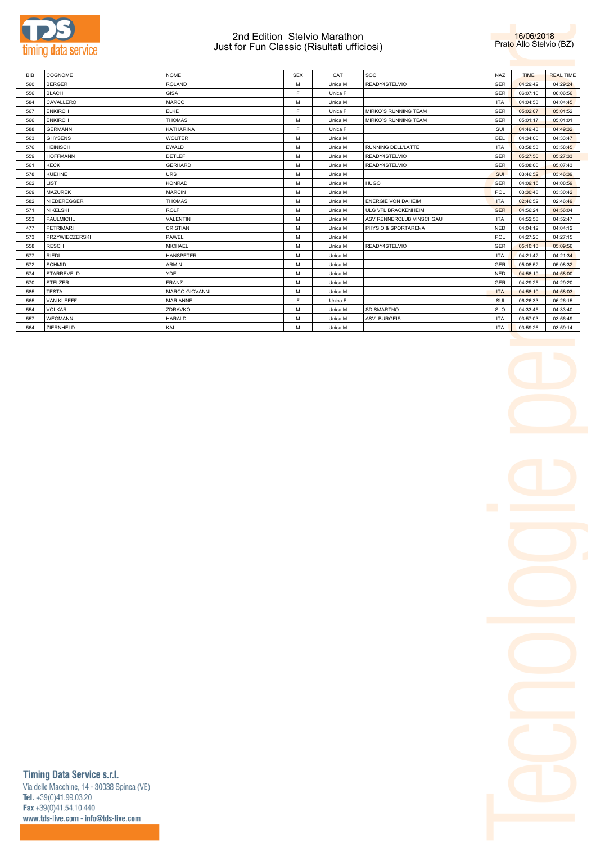

### 2nd Edition Stelvio Marathon Just for Fun Classic (Risultati ufficiosi)



| <b>BIB</b> | COGNOME               | <b>NOME</b>           | <b>SEX</b> | CAT     | <b>SOC</b>                | <b>NAZ</b> | <b>TIME</b> | <b>REAL TIME</b> |
|------------|-----------------------|-----------------------|------------|---------|---------------------------|------------|-------------|------------------|
| 560        | <b>BERGER</b>         | <b>ROLAND</b>         | M          | Unica M | READY4STELVIO             | <b>GER</b> | 04:29:42    | 04:29:24         |
| 556        | <b>BLACH</b>          | <b>GISA</b>           | E          | Unica F |                           | GER        | 06:07:10    | 06:06:56         |
| 584        | CAVALLERO             | <b>MARCO</b>          | M          | Unica M |                           | <b>ITA</b> | 04:04:53    | 04:04:45         |
| 567        | <b>ENKIRCH</b>        | <b>ELKE</b>           | F.         | Unica F | MIRKO'S RUNNING TEAM      | GER        | 05:02:07    | 05:01:52         |
| 566        | <b>ENKIRCH</b>        | <b>THOMAS</b>         | M          | Unica M | MIRKO'S RUNNING TEAM      | GER        | 05:01:17    | 05:01:01         |
| 588        | <b>GERMANN</b>        | KATHARINA             | F.         | Unica F |                           | SUI        | 04:49:43    | 04:49:32         |
| 563        | <b>GHYSENS</b>        | <b>WOUTER</b>         | M          | Unica M |                           | <b>BEL</b> | 04:34:00    | 04:33:47         |
| 576        | <b>HEINISCH</b>       | <b>EWALD</b>          | M          | Unica M | RUNNING DELL'LATTE        | <b>ITA</b> | 03:58:53    | 03:58:45         |
| 559        | <b>HOFFMANN</b>       | <b>DETLEF</b>         | M          | Unica M | READY4STELVIO             | GER        | 05:27:50    | 05:27:33         |
| 561        | <b>KECK</b>           | <b>GERHARD</b>        | M          | Unica M | READY4STELVIO             | GER        | 05:08:00    | 05:07:43         |
| 578        | <b>KUEHNE</b>         | <b>URS</b>            | M          | Unica M |                           | <b>SUI</b> | 03:46:52    | 03:46:39         |
| 562        | <b>LIST</b>           | <b>KONRAD</b>         | M          | Unica M | <b>HUGO</b>               | <b>GER</b> | 04:09:15    | 04:08:59         |
| 569        | <b>MAZUREK</b>        | <b>MARCIN</b>         | M          | Unica M |                           | POL        | 03:30:48    | 03:30:42         |
| 582        | NIEDEREGGER           | <b>THOMAS</b>         | M          | Unica M | <b>ENERGIE VON DAHEIM</b> | <b>ITA</b> | 02:46:52    | 02:46:49         |
| 571        | <b>NIKELSKI</b>       | <b>ROLF</b>           | M          | Unica M | ULG VFL BRACKENHEIM       | <b>GER</b> | 04:56:24    | 04:56:04         |
| 553        | PAULMICHL             | <b>VALENTIN</b>       | M          | Unica M | ASV RENNERCLUB VINSCHGAU  | <b>ITA</b> | 04:52:58    | 04:52:47         |
| 477        | <b>PETRIMARI</b>      | <b>CRISTIAN</b>       | M          | Unica M | PHYSIO & SPORTARENA       | <b>NED</b> | 04:04:12    | 04:04:12         |
| 573        | <b>PRZYWIECZERSKI</b> | PAWEL                 | M          | Unica M |                           | <b>POL</b> | 04:27:20    | 04:27:15         |
| 558        | <b>RESCH</b>          | <b>MICHAEL</b>        | M          | Unica M | READY4STELVIO             | GER        | 05:10:13    | 05:09:56         |
| 577        | <b>RIEDL</b>          | <b>HANSPETER</b>      | M          | Unica M |                           | <b>ITA</b> | 04:21:42    | 04:21:34         |
| 572        | <b>SCHMID</b>         | <b>ARMIN</b>          | M          | Unica M |                           | GER        | 05:08:52    | 05:08:32         |
| 574        | <b>STARREVELD</b>     | YDE                   | M          | Unica M |                           | <b>NED</b> | 04:58:19    | 04:58:00         |
| 570        | <b>STELZER</b>        | <b>FRANZ</b>          | M          | Unica M |                           | GER        | 04:29:25    | 04:29:20         |
| 585        | <b>TESTA</b>          | <b>MARCO GIOVANNI</b> | M          | Unica M |                           | <b>ITA</b> | 04:58:10    | 04:58:03         |
| 565        | <b>VAN KLEEFF</b>     | <b>MARIANNE</b>       | E          | Unica F |                           | SUI        | 06:26:33    | 06:26:15         |
| 554        | <b>VOLKAR</b>         | ZDRAVKO               | M          | Unica M | <b>SD SMARTNO</b>         | <b>SLO</b> | 04:33:45    | 04:33:40         |
| 557        | <b>WEGMANN</b>        | HARALD                | M          | Unica M | ASV. BURGEIS              | <b>ITA</b> | 03:57:03    | 03:56:49         |
| 564        | ZIERNHELD             | KAI                   | M          | Unica M |                           | <b>ITA</b> | 03:59:26    | 03:59:14         |

Timing Data Service s.r.l.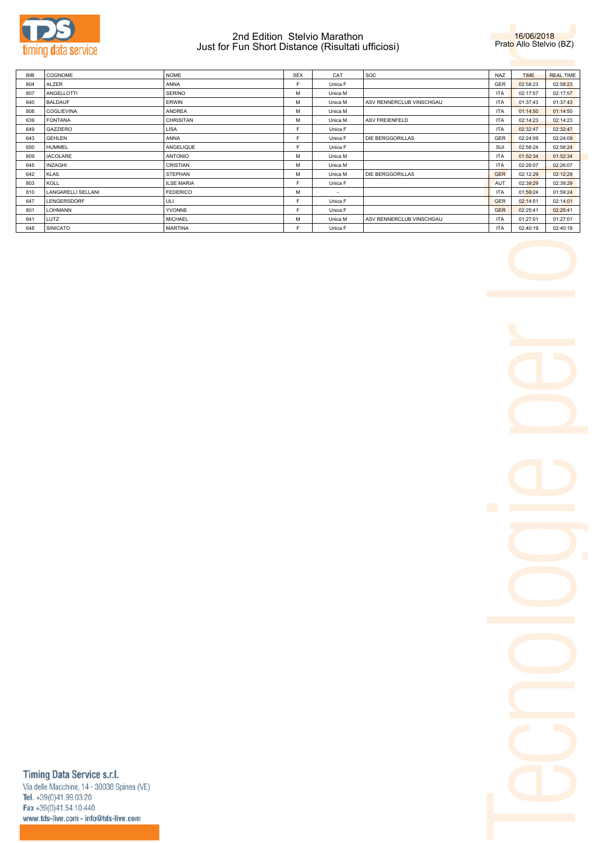

## 2nd Edition Stelvio Marathon Just for Fun Short Distance (Risultati ufficiosi)



| <b>BIB</b> | COGNOME            | <b>NOME</b>       | <b>SEX</b> | CAT     | <b>SOC</b>               | NA7        | <b>TIME</b> | <b>REAL TIME</b> |
|------------|--------------------|-------------------|------------|---------|--------------------------|------------|-------------|------------------|
| 804        | ALZER              | ANNA              | E          | Unica F |                          | <b>GER</b> | 02:58:23    | 02:58:23         |
| 807        | ANGELLOTTI         | <b>SERINO</b>     | M          | Unica M |                          | <b>ITA</b> | 02:17:57    | 02:17:57         |
| 640        | <b>BALDAUF</b>     | <b>ERWIN</b>      | M          | Unica M | ASV RENNERCLUB VINSCHGAU | <b>ITA</b> | 01:37:43    | 01:37:43         |
| 808        | <b>COGLIEVINA</b>  | ANDREA            | M          | Unica M |                          | <b>ITA</b> | 01:14:50    | 01:14:50         |
| 639        | <b>FONTANA</b>     | <b>CHRISITAN</b>  | M          | Unica M | <b>ASV FREIENFELD</b>    | <b>ITA</b> | 02:14:23    | 02:14:23         |
| 649        | GAZZIERO           | LISA              | E          | Unica F |                          | <b>ITA</b> | 02:32:47    | 02:32:47         |
| 643        | <b>GEHLEN</b>      | ANNA              | E          | Unica F | <b>DIE BERGGORILLAS</b>  | <b>GER</b> | 02:24:09    | 02:24:09         |
| 650        | <b>HUMMEL</b>      | ANGELIQUE         | с          | Unica F |                          | SUI        | 02:58:24    | 02:58:24         |
| 809        | <b>IACOLARE</b>    | <b>ANTONIO</b>    | M          | Unica M |                          | <b>ITA</b> | 01:52:34    | 01:52:34         |
| 645        | <b>INZAGHI</b>     | <b>CRISTIAN</b>   | м          | Unica M |                          | <b>ITA</b> | 02:26:07    | 02:26:07         |
| 642        | KLAß               | <b>STEPHAN</b>    | M          | Unica M | <b>DIE BERGGORILLAS</b>  | <b>GER</b> | 02:12:29    | 02:12:29         |
| 803        | KOLL               | <b>ILSE MARIA</b> |            | Unica F |                          | AUT        | 02:39:29    | 02:39:29         |
| 810        | LANGARELLI SELLANI | <b>FEDERICO</b>   | м          | $\sim$  |                          | <b>ITA</b> | 01:59:24    | 01:59:24         |
| 647        | LENGERSDORF        | ULI               | с          | Unica F |                          | <b>GER</b> | 02:14:01    | 02:14:01         |
| 801        | LOHMANN            | <b>YVONNE</b>     |            | Unica F |                          | <b>GER</b> | 02:25:41    | 02:25:41         |
| 641        | LUTZ               | <b>MICHAEL</b>    | м          | Unica M | ASV RENNERCLUB VINSCHGAU | <b>ITA</b> | 01:27:01    | 01:27:01         |
| 648        | SINICATO           | <b>MARTINA</b>    | c          | Unica F |                          | <b>ITA</b> | 02:40:19    | 02:40:19         |



# Timing Data Service s.r.l.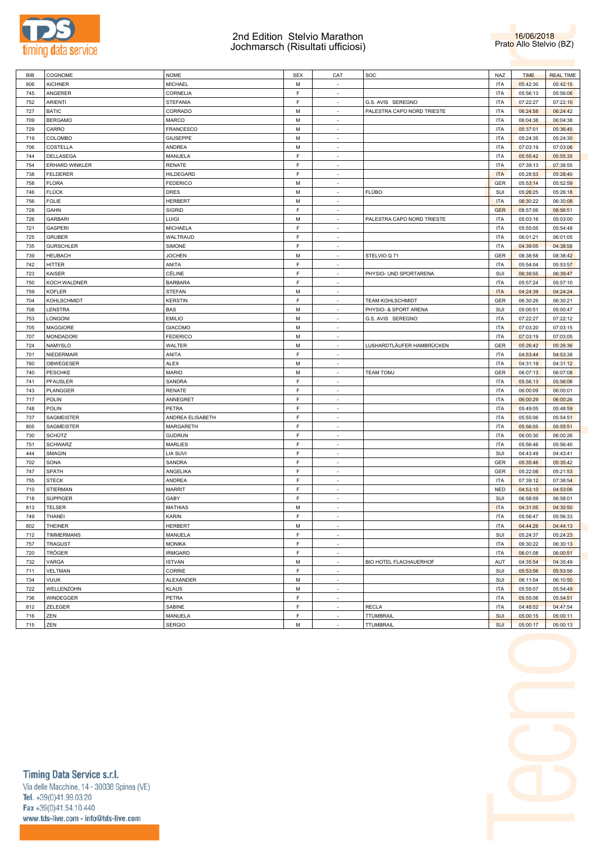

### 2nd Edition Stelvio Marathon Jochmarsch (Risultati ufficiosi)



| BIB | COGNOME           | <b>NOME</b>      | <b>SEX</b> | CAT                      | SOC                        | NAZ        | <b>TIME</b> | <b>REAL TIME</b> |
|-----|-------------------|------------------|------------|--------------------------|----------------------------|------------|-------------|------------------|
| 806 | <b>AICHNER</b>    | <b>MICHAEL</b>   | M          | $\sim$                   |                            | <b>ITA</b> | 05:42:30    | 05:42:15         |
| 745 | ANGERER           | CORNELIA         | F          | $\sim$                   |                            | <b>ITA</b> | 05:56:13    | 05:56:06         |
| 752 | ARIENTI           | <b>STEFANIA</b>  | F          | $\sim$                   | G.S. AVIS SEREGNO          | <b>ITA</b> | 07:22:27    | 07:22:10         |
| 727 | <b>BATIC</b>      | CORRADO          | М          | $\sim$                   | PALESTRA CAPO NORD TRIESTE | <b>ITA</b> | 06:24:58    | 06:24:42         |
| 709 | <b>BERGAMO</b>    | MARCO            | M          | $\sim$                   |                            | <b>ITA</b> | 06:04:38    | 06:04:38         |
| 729 | CARRO             | FRANCESCO        | М          | $\sim$                   |                            | <b>ITA</b> | 05:37:01    | 05:36:45         |
| 719 | COLOMBO           | GIUSEPPE         | M          | $\sim$                   |                            | <b>ITA</b> | 05:24:35    | 05:24:30         |
| 706 | COSTELLA          | ANDREA           | М          | $\sim$                   |                            | <b>ITA</b> | 07:03:19    | 07:03:06         |
| 744 | DELLASEGA         | MANUELA          | F          | $\sim$                   |                            | <b>ITA</b> | 05:55:42    | 05:55:35         |
| 754 | ERHARD WINKLER    | <b>RENATE</b>    | F          | $\sim$                   |                            | <b>ITA</b> | 07:39:13    | 07:38:55         |
| 738 | <b>FELDERER</b>   | <b>HILDEGARD</b> | F          | $\sim$                   |                            | <b>ITA</b> | 05:28:53    | 05:28:40         |
| 758 | <b>FLORA</b>      | <b>FEDERICO</b>  | М          | $\sim$                   |                            | <b>GER</b> | 05:53:14    | 05:52:59         |
| 746 | <b>FLÜCK</b>      | DRES             | M          | $\sim$                   | <b>FLÜBO</b>               | SUI        | 05:26:25    | 05:26:18         |
| 756 | <b>FOLIE</b>      | <b>HERBERT</b>   | М          | $\sim$                   |                            | <b>ITA</b> | 06:30:22    | 06:30:08         |
| 728 | <b>GAHN</b>       | SIGRID           | F          | $\sim$                   |                            | <b>GER</b> | 08:57:06    | 08:56:51         |
| 726 | <b>GARBARI</b>    | LUIGI            | М          | $\sim$                   | PALESTRA CAPO NORD TRIESTE | <b>ITA</b> | 05:03:16    | 05:03:00         |
| 721 | GASPERI           | MICHAELA         | F          | $\sim$                   |                            | <b>ITA</b> | 05:55:05    | 05:54:48         |
| 725 | <b>GRUBER</b>     | WALTRAUD         | F          | $\sim$                   |                            | <b>ITA</b> | 06:01:21    | 06:01:05         |
| 735 | <b>GURSCHLER</b>  | SIMONE           | F          | $\sim$                   |                            | <b>ITA</b> | 04:39:05    | 04:38:58         |
| 739 | <b>HEUBACH</b>    | <b>JOCHEN</b>    | М          | $\sim$                   | STELVIO Q 71               | GER        | 08:38:58    | 08:38:42         |
| 742 | <b>HITTER</b>     | ANITA            | F          | $\sim$                   |                            | <b>ITA</b> | 05:54:04    | 05:53:57         |
|     |                   | CÉLINE           | F          |                          |                            |            |             |                  |
| 723 | KAISER            |                  |            | $\sim$                   | PHYSIO- UND SPORTARENA     | SUI        | 06:39:55    | 06:39:47         |
| 750 | KOCH WALDNER      | BARBARA          | F          | $\sim$                   |                            | <b>ITA</b> | 05:57:24    | 05:57:10         |
| 759 | <b>KOFLER</b>     | <b>STEFAN</b>    | М          | $\sim$                   |                            | <b>ITA</b> | 04:24:39    | 04:24:24         |
| 704 | KOHLSCHMIDT       | <b>KERSTIN</b>   | F          | $\sim$                   | <b>TEAM KOHLSCHMIDT</b>    | GER        | 06:30:26    | 06:30:21         |
| 708 | LENSTRA           | BAS              | М          | $\sim$                   | PHYSIO- & SPORT ARENA      | SUI        | 05:00:51    | 05:00:47         |
| 753 | LONGONI           | EMILIO           | M          | $\sim$                   | G.S. AVIS SEREGNO          | <b>ITA</b> | 07:22:27    | 07:22:12         |
| 705 | MAGGIORE          | <b>GIACOMO</b>   | M          | $\overline{\phantom{a}}$ |                            | <b>ITA</b> | 07:03:20    | 07:03:15         |
| 707 | <b>MONDADORI</b>  | <b>FEDERICO</b>  | M          | $\sim$                   |                            | <b>ITA</b> | 07:03:19    | 07:03:05         |
| 724 | NAMYSLO           | WALTER           | М          | $\sim$                   | LUßHARDTLÄUFER HAMBRÜCKEN  | GER        | 05:26:42    | 05:26:36         |
| 701 | NIEDERMAIR        | ANITA            | F          | $\sim$                   |                            | <b>ITA</b> | 04:53:44    | 04:53:38         |
| 760 | OBWEGESER         | ALEX             | М          | $\sim$                   |                            | <b>ITA</b> | 04:31:19    | 04:31:12         |
| 740 | PESCHKE           | <b>MARIO</b>     | M          | $\sim$                   | <b>TEAM TOMJ</b>           | GER        | 06:07:13    | 06:07:08         |
| 741 | PFAUSLER          | SANDRA           | F          | $\sim$                   |                            | <b>ITA</b> | 05:56:13    | 05:56:06         |
| 743 | PLANGGER          | RENATE           | F          | $\sim$                   |                            | <b>ITA</b> | 06:00:09    | 06:00:01         |
| 717 | POLIN             | ANNEGRET         | F          | $\sim$                   |                            | <b>ITA</b> | 06:00:29    | 06:00:26         |
| 748 | <b>POLIN</b>      | PETRA            | F          | $\sim$                   |                            | <b>ITA</b> | 05:49:05    | 05:48:59         |
| 737 | SAGMEISTER        | ANDREA ELISABETH | F          | $\sim$                   |                            | <b>ITA</b> | 05:55:06    | 05:54:51         |
| 805 | SAGMEISTER        | MARGARETH        | F          | $\sim$                   |                            | <b>ITA</b> | 05:56:05    | 05:55:51         |
| 730 | SCHÜTZ            | <b>GUDRUN</b>    | F          | $\sim$                   |                            | <b>ITA</b> | 06:00:30    | 06:00:26         |
| 751 | <b>SCHWARZ</b>    | <b>MARLIES</b>   | F          | $\sim$                   |                            | <b>ITA</b> | 05:56:46    | 05:56:40         |
| 444 | SMAGIN            | LIA SUVI         | F          | $\sim$                   |                            | SUI        | 04:43:49    | 04:43:41         |
| 702 | SONA              | SANDRA           | F          | $\sim$                   |                            | GER        | 05:35:46    | 05:35:42         |
| 747 | SPÄTH             | ANGELIKA         | F          | $\overline{\phantom{a}}$ |                            | GER        | 05:22:06    | 05:21:53         |
| 755 | <b>STECK</b>      | <b>ANDREA</b>    | F          | $\sim$                   |                            | <b>ITA</b> | 07:39:12    | 07:38:54         |
| 710 | <b>STIERMAN</b>   | <b>MARRIT</b>    | F          | $\overline{\phantom{a}}$ |                            | <b>NED</b> | 04:53:10    | 04:53:06         |
| 718 | <b>SUPPIGER</b>   | GABY             | F          | $\sim$                   |                            | SUI        | 06:58:09    | 06:58:01         |
| 813 | TELSER            | MATHIAS          | М          | $\sim$                   |                            | <b>ITA</b> | 04:31:05    | 04:30:50         |
| 749 | <b>THANEI</b>     | KARIN            | F          | $\sim$                   |                            | <b>ITA</b> | 05:56:47    | 05:56:33         |
| 802 | <b>THEINER</b>    | <b>HERBERT</b>   | M          | $\sim$                   |                            | ITA        | 04:44:26    | 04:44:13         |
| 712 | <b>TIMMERMANS</b> | MANUELA          | F          | $\sim$                   |                            | SUI        | 05:24:37    | 05:24:23         |
| 757 | <b>TRAGUST</b>    | <b>MONIKA</b>    | F          | $\sim$                   |                            | <b>ITA</b> | 06:30:22    | 06:30:13         |
| 720 | TRÖGER            | <b>IRMGARD</b>   | F          | $\overline{\phantom{a}}$ |                            | <b>ITA</b> | 06:01:08    | 06:00:51         |
| 732 | VARGA             | <b>ISTVAN</b>    | M          | $\sim$                   | BIO HOTEL FLACHAUERHOF     | AUT        | 04:35:54    | 04:35:49         |
| 711 | <b>VELTMAN</b>    | CORRIE           | F          | $\overline{\phantom{a}}$ |                            | SUI        | 05:53:56    | 05:53:56         |
| 734 | <b>VUIJK</b>      | ALEXANDER        | M          | $\sim$                   |                            | SUI        | 06:11:04    | 06:10:50         |
| 722 | WELLENZOHN        | <b>KLAUS</b>     | M          | $\overline{\phantom{a}}$ |                            | <b>ITA</b> | 05:55:07    | 05:54:49         |
| 736 | WINDEGGER         | PETRA            | F          | $\sim$                   |                            | <b>ITA</b> | 05:55:06    | 05:54:51         |
| 812 | ZELEGER           | SABINE           | F          | $\sim$                   | <b>RECLA</b>               | <b>ITA</b> | 04:48:02    | 04:47:54         |
| 716 | ZEN               | MANUELA          | F          | $\sim$                   | <b>TTUMBRAIL</b>           | <b>SUI</b> | 05:00:15    | 05:00:11         |
| 715 | ZEN               | <b>SERGIO</b>    | M          | $\overline{\phantom{a}}$ | <b>TTUMBRAIL</b>           | SUI        | 05:00:17    | 05:00:13         |



Timing Data Service s.r.l. Via delle Macchine, 14 - 30038 Spinea (VE) Tel. +39(0)41.99.03.20 Fax +39(0)41.54.10.440

www.tds-live.com - info@tds-live.com